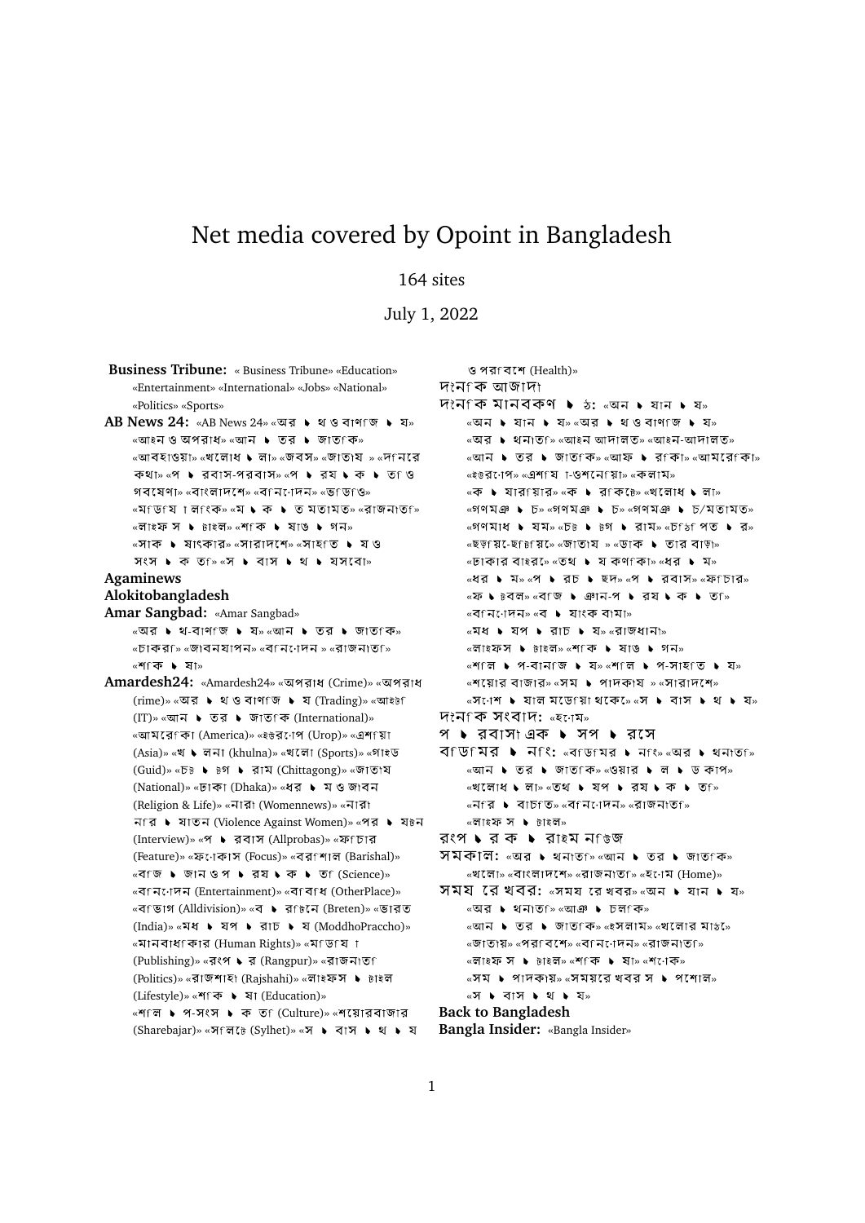# Net media covered by Opoint in Bangladesh

## 164 sites

July 1, 2022

**Business Tribune:** « Business Tribune» «Education» «Entertainment» «International» «Jobs» «National» «Politics» «Sports» AB News 24: «AB News 24» «অর ▶ থ ও বাণাজ ▶ য» «আইন ও অপরাধ» «আন ▶ তর ▶ জাত কি» «আবহাওয়া» «খলোধ ▶ লা» «জবস» «জাতায » «দনেরে  $\Phi$   $\mathbb{R}$   $\mathbb{R}$   $\mathbb{R}$   $\mathbb{R}$   $\mathbb{R}$   $\mathbb{R}$   $\mathbb{R}$   $\mathbb{R}$   $\mathbb{R}$   $\mathbb{R}$   $\mathbb{R}$   $\mathbb{R}$   $\mathbb{R}$   $\mathbb{R}$   $\mathbb{R}$   $\mathbb{R}$   $\mathbb{R}$   $\mathbb{R}$   $\mathbb{R}$   $\mathbb{R}$   $\mathbb{R}$   $\mathbb{R}$   $\mathbb{R}$   $\mathbb{R}$  গবষেণা» «বাংলাদশে» «বনেনোদন» «ভাডঙি»  $\overline{\mathcal{C}}$   $\overline{\mathcal{C}}$   $\overline{\mathcal{C}}$   $\overline{\mathcal{C}}$   $\overline{\mathcal{C}}$   $\overline{\mathcal{C}}$   $\overline{\mathcal{C}}$   $\overline{\mathcal{C}}$   $\overline{\mathcal{C}}$   $\overline{\mathcal{C}}$   $\overline{\mathcal{C}}$   $\overline{\mathcal{C}}$   $\overline{\mathcal{C}}$   $\overline{\mathcal{C}}$   $\overline{\mathcal{C}}$   $\overline{\mathcal{C}}$   $\overline{\mathcal{C}}$   $\overline{\mathcal{C}}$   $\over$  $\overline{\mathbf{w}}$ লাইফ স ▶ টাইল $\overline{\mathbf{w}}$   $\overline{\mathbf{w}}$   $\overline{\mathbf{w}}$   $\overline{\mathbf{w}}$   $\overline{\mathbf{w}}$   $\overline{\mathbf{w}}$   $\overline{\mathbf{w}}$   $\overline{\mathbf{w}}$   $\overline{\mathbf{w}}$ «সাক ▶ ষাৎকার» «সারাদশে» «সাহতি ▶ য৩  $\mathcal{P}(\mathcal{P})$   $\blacktriangleright$   $\mathcal{P}(\mathcal{P})$   $\mathcal{P}(\mathcal{P})$   $\blacktriangleright$   $\mathcal{P}(\mathcal{P})$   $\blacktriangleright$   $\mathcal{P}(\mathcal{P})$   $\blacktriangleright$   $\mathcal{P}(\mathcal{P})$   $\blacktriangleright$   $\mathcal{P}(\mathcal{P})$   $\blacktriangleright$   $\mathcal{P}(\mathcal{P})$   $\blacktriangleright$   $\mathcal{P}(\mathcal{P})$   $\blacktriangleright$   $\mathcal{P}(\mathcal{P})$   $\blacktriangleright$ **Agaminews Alokitobangladesh Amar Sangbad:** «Amar Sangbad»  $\overline{\mathcal{C}}$ অর ▶ থ-বাণ জি ▶ য» <আন ▶ তর ▶ জাত কি» «চাকর<sub>ি</sub> «জাবনযাপন» «বনেনেদন » «রাজনাত<sub>ি</sub>» « » Amardesh24: «Amardesh24» «অপরাধ (Crime)» «অপরাধ (rime)» «অর ▶ থ ও বাণাজ ▶ য (Trading)» «আইটা (IT)» «আন ▶ তর ▶ জাতf ক (International)» «আমরেপিা (America)» «ইউরণেপ (Urop)» «এশপিা (Asia)» «খ ▶ লনা (khulna)» «খলো (Sports)» «গাইড (Guid)» «চ৳ ▶ ৳গ ▶ রাম (Chittagong)» «জাতায (National)» «ঢাকা (Dhaka)» «ধর ▶ ম ও জাবন (Religion & Life)» «নারা (Womennews)» «নারা নfর ▶ যাতন (Violence Against Women)» «পর ▶ য৳ন (Interview)» «প ▶ রবাস (Allprobas)» «ফf চার (Feature)» «ফণেকাস (Focus)» «বরণশাল (Barishal)»  $\kappa$ ব<sub>ি</sub>জি ▶ জানওপ ▶ রয ▶ ক ▶ ত ি(Science)» « वान: ामन (Entertainment)» «वावाध (OtherPlace)» «বিভাগ (Alldivision)» «ব ▶ রf৳নে (Breten)» «ভারত (India)» «মধ ▶ যপ ▶ রাচ ▶ য (ModdhoPraccho)» «মানবাধকোর (Human Rights)» «মণ্ডিগ ো (Publishing)» «রংপ ▶ র (Rangpur)» «রাজনাতা (Politics)» «রাজশাহা (Rajshahi)» «লাইফস ▶ টাইল (Lifestyle)» «শাক ▶ ষা (Education)» «শাল ▶ প-সংস ▶ ক ত (Culture)» «শয়োরবাজার (Sharebajar)» «সfলঢ়ে (Sylhet)» «স ▶ বাস ▶ থ ▶ য

(Health)» দকনক আজাদা  $tri$ ন মানবকণ ▶ ১: «অন ▶ যান ▶ য»  $\overline{\alpha}$ অন ▶ যান ▶ য়» $\overline{\alpha}$ অর ▶ থওবাণ জ ▶ য» «অর ▶ থনাত্জি «আইন আদালত» «আইন-আদালত» «আন ▶ তর ▶ জাত কি» «আফ ▶ র কা» «আমরে কো» «ইউর্ণেপ» «এশা য া-ওশনোয়া» «কলাম»  $\overline{\alpha}$  • যারfয়ার» «ক • রfক $\overline{\alpha}$ » «খলোধ • লা» « » « » « / » « » « » « »  $\sim$ ছড় (মৃ. ছাট মৃ.  $\sim$  জাতায » $\sim$ ডাক  $\blacktriangleright$  তার বাড়া»  $\overline{\mathsf{S}}$  ও  $\overline{\mathsf{N}}$   $\overline{\mathsf{N}}$   $\overline{\mathsf{N}}$   $\overline{\mathsf{N}}$   $\overline{\mathsf{N}}$   $\overline{\mathsf{N}}$   $\overline{\mathsf{N}}$   $\overline{\mathsf{N}}$   $\overline{\mathsf{N}}$   $\overline{\mathsf{N}}$   $\overline{\mathsf{N}}$   $\overline{\mathsf{N}}$   $\overline{\mathsf{N}}$   $\overline{\mathsf{N}}$   $\overline{\mathsf{N}}$   $\overline{\mathsf{N}}$   $\overline{\mathsf{N}}$   $\mathbb{R}$  &  $\mathbb{R}$   $\mathbb{R}$   $\mathbb{R}$   $\mathbb{R}$   $\mathbb{R}$   $\mathbb{R}$   $\mathbb{R}$   $\mathbb{R}$   $\mathbb{R}$   $\mathbb{R}$   $\mathbb{R}$   $\mathbb{R}$   $\mathbb{R}$   $\mathbb{R}$   $\mathbb{R}$   $\mathbb{R}$   $\mathbb{R}$   $\mathbb{R}$   $\mathbb{R}$   $\mathbb{R}$   $\mathbb{R}$   $\mathbb{R}$   $\mathbb{R}$  «ফ • চেবল» «ব জ • ঞান-প • রয • ক • ত »  $\mathbb{R}$ ৰণিনেদিন» $\mathbb{R}$ ৰ । যাংক বামা»  $\sqrt{a}$   $\sim$   $\sqrt{a}$   $\sim$   $\sqrt{a}$   $\sim$   $\sqrt{a}$   $\sim$   $\sqrt{a}$   $\sim$   $\sqrt{a}$   $\sim$   $\sqrt{a}$   $\sim$   $\sqrt{a}$   $\sim$   $\sqrt{a}$   $\sim$   $\sqrt{a}$   $\sim$   $\sqrt{a}$   $\sim$   $\sqrt{a}$   $\sim$   $\sqrt{a}$   $\sim$   $\sqrt{a}$   $\sim$   $\sqrt{a}$   $\sim$   $\sqrt{a}$   $\sim$   $\sqrt{a}$   $\sim$  «লাইফস ▶ টাইল» «শৃকি ▶ ষাঙ ▶ গন»  $\mathbb{R}$   $\mathbb{R}$   $\mathbb{R}$   $\mathbb{R}$   $\mathbb{R}$   $\mathbb{R}$   $\mathbb{R}$   $\mathbb{R}$   $\mathbb{R}$   $\mathbb{R}$   $\mathbb{R}$   $\mathbb{R}$   $\mathbb{R}$   $\mathbb{R}$   $\mathbb{R}$   $\mathbb{R}$   $\mathbb{R}$   $\mathbb{R}$   $\mathbb{R}$   $\mathbb{R}$   $\mathbb{R}$   $\mathbb{R}$   $\mathbb{R}$   $\mathbb{R}$   $\math$  $\mathbb{R}$  «শয়োর বাজার» «সম ▶ পাদকায » «সারাদশে»  $\sqrt{a}$   $\sqrt{a}$   $\sqrt{b}$  and  $\sqrt{b}$  and  $\sqrt{a}$  and  $\sqrt{b}$  and  $\sqrt{a}$  and  $\sqrt{a}$  and  $\sqrt{a}$  and  $\sqrt{a}$  and  $\sqrt{a}$  and  $\sqrt{a}$  and  $\sqrt{a}$  and  $\sqrt{a}$  and  $\sqrt{a}$  and  $\sqrt{a}$  and  $\sqrt{a}$  and  $\sqrt{a}$  and  $\sqrt{a}$  and **:** « » প ▶ রবাসা এক ▶ সপ ▶ রসে  $\overline{p}$ **:**  $\overline{p}$   $\overline{p}$   $\overline{p}$   $\overline{p}$   $\overline{p}$   $\overline{p}$   $\overline{p}$   $\overline{p}$   $\overline{p}$   $\overline{p}$   $\overline{p}$   $\overline{p}$   $\overline{p}$   $\overline{p}$   $\overline{p}$   $\overline{p}$   $\overline{p}$   $\overline{p}$   $\overline{p}$   $\overline{p}$   $\overline{p}$   $\overline{p}$   $\overline{$  $\overline{\phantom{a}}$   $\overline{\phantom{a}}$   $\overline{\phantom{a}}$   $\overline{\phantom{a}}$   $\overline{\phantom{a}}$   $\overline{\phantom{a}}$   $\overline{\phantom{a}}$   $\overline{\phantom{a}}$   $\overline{\phantom{a}}$   $\overline{\phantom{a}}$   $\overline{\phantom{a}}$   $\overline{\phantom{a}}$   $\overline{\phantom{a}}$   $\overline{\phantom{a}}$   $\overline{\phantom{a}}$   $\overline{\phantom{a}}$   $\overline{\phantom{a}}$   $\overline{\phantom{a}}$   $\over$  $\sim$ খেলোধে ১ লা»  $\sim$ তথ ১ যেপ ১ রেষ ১ ক ১ তি ি  $\overline{\mathcal{C}}$   $\overline{\mathcal{C}}$   $\overline{\mathcal{C}}$   $\overline{\mathcal{C}}$   $\overline{\mathcal{C}}$   $\overline{\mathcal{C}}$   $\overline{\mathcal{C}}$   $\overline{\mathcal{C}}$   $\overline{\mathcal{C}}$   $\overline{\mathcal{C}}$   $\overline{\mathcal{C}}$   $\overline{\mathcal{C}}$   $\overline{\mathcal{C}}$   $\overline{\mathcal{C}}$   $\overline{\mathcal{C}}$   $\overline{\mathcal{C}}$   $\overline{\mathcal{C}}$   $\overline{\mathcal{C}}$   $\over$ «লাইফ স ▶ টাইল» রংপ ▶ র ক ▶ রাইম ন উজ সমক⊺ল: «অর ▶ থনাত » «আন ▶ তর ▶ জাত কি» «খলো» «বাংলাদশে» «রাজনাত<sub>ি»</sub> «হণেম (Home)» সময *র* খেবর: «সময রেখবর» «অন ▶ যান ▶ য»  $\overline{\mathcal{C}}$ অর ▶ থনাত ি «আঞ ▶ চল কি»  $\overline{\mathcal{C}}$   $\overline{\mathcal{C}}$   $\overline{\mathcal{C}}$   $\overline{\mathcal{C}}$   $\overline{\mathcal{C}}$   $\overline{\mathcal{C}}$   $\overline{\mathcal{C}}$   $\overline{\mathcal{C}}$   $\overline{\mathcal{C}}$   $\overline{\mathcal{C}}$   $\overline{\mathcal{C}}$   $\overline{\mathcal{C}}$   $\overline{\mathcal{C}}$   $\overline{\mathcal{C}}$   $\overline{\mathcal{C}}$   $\overline{\mathcal{C}}$   $\overline{\mathcal{C}}$   $\overline{\mathcal{C}}$   $\over$ «জাতায» «প্ৰবিশে» «বনিোদন» «বাজনাত্য» «লাইফ স ▶ টাইল» «শ কি ▶ ষা» «শ োক»  $\overline{\mathsf{A}}$  • পাদকায়» «সময়রে খবর স ▶ পশোলে» «স **১** বাস **১** থ **১** য» **Back to Bangladesh**

**Bangla Insider:** «Bangla Insider»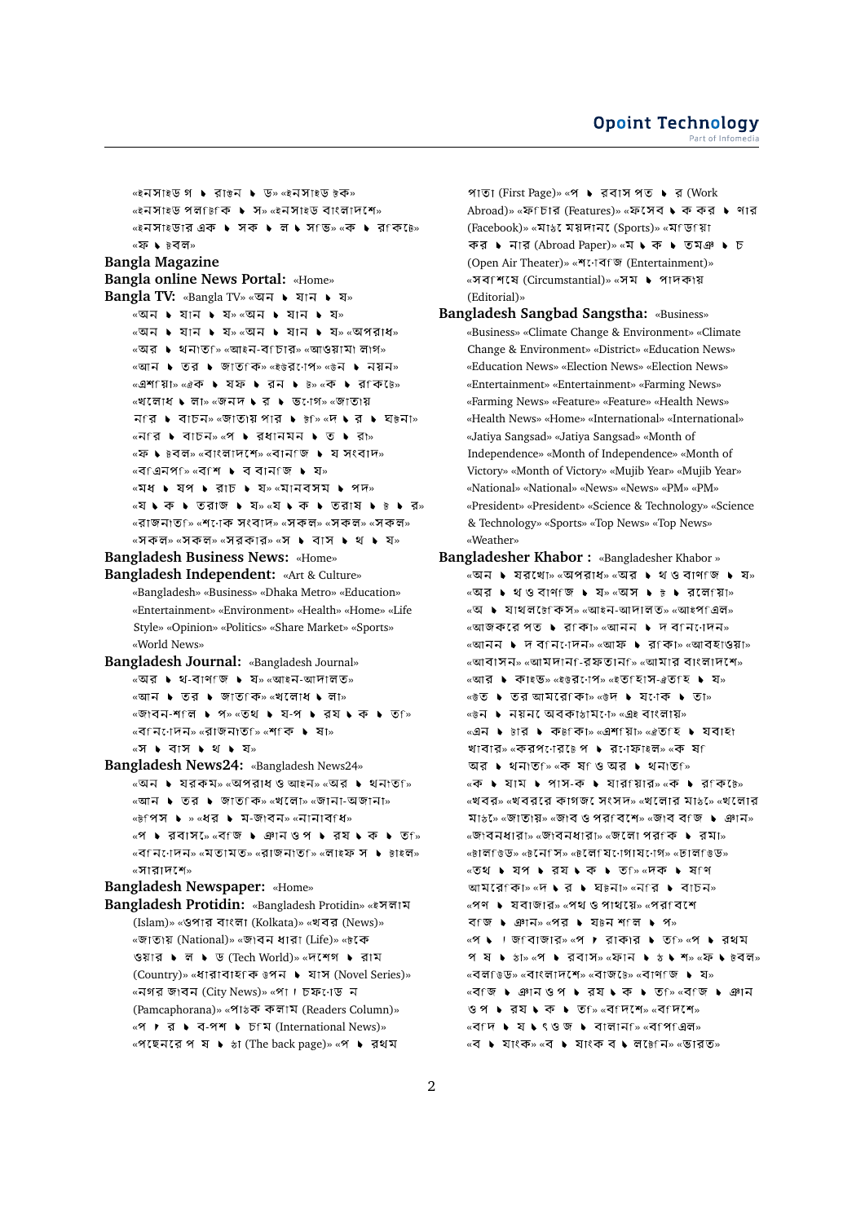```
«ইনসাইড গ ▶ রাউন ▶ ড» «ইনসাইড টক»
         «ইনসাইড পলfটকি ▶ স» «ইনসাইড বাংলাদশে»
         «ইনসাইডার এক ▶ সক ▶ ল ▶ স ভি» «ক ▶ র কি ৳ে»
         «ফ ▶ ৳বল»
Bangla Magazine
Bangla online News Portal: «Home»
Bangla TV: «Bangla TV» «অন ▶ যান ▶ য»
         \alphaঅন \blacktriangleright যান \blacktriangleright য»\alphaঅন \blacktriangleright যান \blacktriangleright য»
         «অন ▶ যান ▶ য» «অন ▶ যান ▶ য» «অপরাধ»
         \mathbb{R} \mathbb{R} \mathbb{R} । থনাত ি \mathbb{R} \mathbb{R} \mathbb{R} - ব\mathbb{R} চার» \mathbb{R} আওয়ামা লাগ»
         «আন ▶ তর ▶ জাত কি» «ইউর োপে» «উন ▶ নয়ন»
         «এশ য়িা» «ঐক ▶ যফ ▶ রন ▶ ৳» «ক ▶ র কি ৳»
         \mathbb{R}খলোধ ১ লা» \mathbb{R}জনদ ১ র ১ ভ\mathbb{R}াগ» \mathbb{R}জাতায়
         \overline{A} \uparrow \overline{A} \uparrow \overline{A} \rightarrow \overline{S} \uparrow \overline{S} \uparrow \overline{S} \uparrow \uparrow \overline{S} \uparrow \uparrow \overline{S} \uparrow \uparrow \overline{S} \uparrow \uparrow \overline{S} \uparrow \uparrow \overline{S} \uparrow \uparrow \uparrow \overline{S} \uparrow 
         \overline{\mathcal{C}} \overline{\mathcal{C}} \overline{\mathcal{C}} \overline{\mathcal{C}} \overline{\mathcal{C}} \overline{\mathcal{C}} \overline{\mathcal{C}} \overline{\mathcal{C}} \overline{\mathcal{C}} \overline{\mathcal{C}} \overline{\mathcal{C}} \overline{\mathcal{C}} \overline{\mathcal{C}} \overline{\mathcal{C}} \overline{\mathcal{C}} \overline{\mathcal{C}} \overline{\mathcal{C}} \overline{\mathcal{C}} \over\overline{X} • \overline{B} \overline{B} \overline{C} \overline{C} \overline{C} \overline{C} \overline{C} \overline{C} \overline{C} \overline{C} \overline{C} \overline{C} \overline{C} \overline{C} \overline{C} \overline{C} \overline{C} \overline{C} \overline{C} \overline{C} \overline{C} \overline{C} \overline{C} \overline{\text{w}}ব এনপ\overline{\text{w}} \overline{\text{w}} \overline{\text{w}} \overline{\text{w}} \overline{\text{w}} \overline{\text{w}} \overline{\text{w}}\overline{\mathbf{X}} \mathbf{X} \mathbf{Y} * \mathbf{Y} * \mathbf{X} * \mathbf{X} * \mathbf{X} * \mathbf{X} * \mathbf{X} * \mathbf{X} * \mathbf{X} * \mathbf{X} * \mathbf{X} * \mathbf{X} * \mathbf{X} * \mathbf{X} * \mathbf{X} * \mathbf{«যে • কে • তেরাজ • যে» «যে • কে • তেরাষ • ∺ • র»
         «রাজনাত<sub>ি» «</sub>শণেক সংবাদ» «সকল» «সকল» «সকল»
         «সকল» «সকল» «সরকার» «স ▶ বাস ▶ থ ▶ য»
Bangladesh Business News: «Home»
Bangladesh Independent: «Art & Culture»
         «Bangladesh» «Business» «Dhaka Metro» «Education»
         «Entertainment» «Environment» «Health» «Home» «Life
         Style» «Opinion» «Politics» «Share Market» «Sports»
         «World News»
Bangladesh Journal: «Bangladesh Journal»
         \mathbb{R}অর \blacktriangleright থ-বাণ জি \blacktriangleright য» \mathbb{R}আইন-আদালত»
         \overline{\phantom{a}} \overline{\phantom{a}} \overline{\phantom{a}} \overline{\phantom{a}} \overline{\phantom{a}} \overline{\phantom{a}} \overline{\phantom{a}} \overline{\phantom{a}} \overline{\phantom{a}} \overline{\phantom{a}} \overline{\phantom{a}} \overline{\phantom{a}} \overline{\phantom{a}} \overline{\phantom{a}} \overline{\phantom{a}} \overline{\phantom{a}} \overline{\phantom{a}} \overline{\phantom{a}} \over\simজাবন-শাল \blacktriangleright প\sim \simতথ \blacktriangleright য-প \blacktriangleright রয \blacktriangleright ক \blacktriangleright ত \sim«বিনিদেদন» «রাজনাতু ি «শিকি ▶ ষা»
         «স ▶ বাস ▶ থ ▶ য»
Bangladesh News24: «Bangladesh News24»
         «অন ▶ যরকম» «অপরাধও আইন» «অর ▶ থনাত ি»
         \overline{\mathcal{C}} \blacksquare \blacksquare তার \blacktriangleright জাত কি» \overline{\mathcal{C}} লো\mathcal{C} \blacksquare \blacksquare জান\blacksquare \blacksquare\kappaটপিস ▶ »\kappaধর ▶ ম-জাবন»\kappaনানাবfধ»
         «প ▶ রবাস »ে «ব জি ▶ ঞান ওপ ▶ রয ▶ ক ▶ ত <sub>»</sub>
         « » « » « » « »
         «সাবাদশে»
Bangladesh Newspaper: «Home»
Bangladesh Protidin: «Bangladesh Protidin» «
         (Islam)» «ওপার বাংলা (Kolkata)» «খবর (News)»
         «জাতায় (National)» «জাবন ধারা (Life)» «টকে
         ওয়ার ▶ ল ▶ ড (Tech World)» «দশেগ ▶ রাম
         (Country)» «ধারাবাহfক ৳পন ▶ যাস (Novel Series)»
         «নগর জাবন (City News)» «পা । চফ∙োড ন
         (Pamcaphorana)» «পাঠক কলাম (Readers Column)»
         «প ▶ র ▶ ব-পশ ▶ চfম (International News)»
```
«পছেনেরে প ষ ▶ ঌা (The back page)» «প ▶ রথম

পাতা (First Page)» «প ▶ রবাস পত ▶ র (Work Abroad)» «ফ<sup>F</sup> চার (Features)» «ফসেব ১ ক কর ১ ণার (Facebook)» «মাঠ ময়দান (Sports)» «মণ্ডিগো কর ▶ নার (Abroad Paper)» «ম ▶ ক ▶ তমঞ ▶ চ (Open Air Theater)» «শ্ৰেবিজ (Entertainment)» «সবাশষে (Circumstantial)» «সম ▶ পাদকায় (Editorial)»

**Bangladesh Sangbad Sangstha:** «Business» «Business» «Climate Change & Environment» «Climate Change & Environment» «District» «Education News» «Education News» «Election News» «Election News» «Entertainment» «Entertainment» «Farming News» «Farming News» «Feature» «Feature» «Health News» «Health News» «Home» «International» «International» «Jatiya Sangsad» «Jatiya Sangsad» «Month of Independence» «Month of Independence» «Month of Victory» «Month of Victory» «Mujib Year» «Mujib Year» «National» «National» «News» «News» «PM» «PM» «President» «President» «Science & Technology» «Science & Technology» «Sports» «Top News» «Top News» «Weather»

```
Bangladesher Khabor : «Bangladesher Khabor »
      \simঅন ▶ যরখো» «অপরাধ» «অর ▶ থওবাণ জ ▶ য»
      «অর ▶ থওবাণ জ ▶ য≫ «অস ▶ ৳ ▶ রলা য়ো»
      \overline{\mathcal{C}} • যাথলটেকিস» «আইন-আদালত» «আইপাএল»
      «আজকরে পত ▶ রাকা» «আনন ▶ দ বানি াদেন»
      «আনন ▶ দ বfনাোদন» «আফ ▶ রfকা» «আবহাওয়া»
      \simআবাসন\sim «আমদান\simরফতান\sim «আমার বাংলাদশে»
      «আর ▶ কাইভ» «ইউর•োপ» «ইত হািস-ঐতাহি ▶ য»
      « » « »
      \sim৬ নয়ন অেবকা\frac{1}{2}মি তে \simএই বাংলায়»
      «এন ▶ চার ▶ কচলিচি «এশ যিচি «ঐত হি ▶ যবাহী
      খাবার» «করপণের৳ে প ▶ রণেফাইল» «ক ষা
      আর ▶ থনাত ি «ক ষ ও অর ▶ থনাত ি»
      «ক ▶ যাম ▶ পাস-ক ▶ যারণয়ার» «ক ▶ রণক োঃ»
      «খবর» «খবররে কাগজ সেংসদ» «খলোর মাঌে» «খলোরে
      মা5» «জাতায়» «জাব ও পরাবেশে» «জাব বাজ ▶ ঞান»
      «জাবনধারা» «জাবনধারা» «জলো পর ক ▶ রমা»
      « » « » « » « »
      «তথ ▶ যপ ▶ রয ▶ ক ▶ ত ি» «দক ▶ ষ ণ
      \overline{u} আমরে কিা\overline{w} « \overline{w} \bullet \overline{q} \bullet \overline{q} \overline{q} \overline{q} \overline{q} \overline{q} \overline{q} \overline{q} \overline{q} \overline{q} \overline{q} \overline{q} \overline{q} \overline{q} \overline{q} \overline{q} \overline{q} \overline{q} \overline{q} \over\mathbb{R} \bullet যবাজার» \mathbb{R}পথ ও পাথয়ে» \mathbb{R}পরাবেশে
      বি'জি ▶ ঞান» «পর ▶ য\overline{b}ন শ°ল ▶ প»
      \mathbb{R} \mathbb{R} । জ\mathbb{R}বাজার \mathbb{R} । রাকার \mathbb{R} ত\mathbb{R} \mathbb{R} । রথম
      প ষ ♦ ১া» «প ♦ রবাস» «ফান ♦ ১ ♦ শ» «ফ ♦ ৳বল»
      \mathbb{R} < বলচিড» «বাংলাদশে» «বাজ৳ে» «বাণচি । য>
      «বি:জি ▶ ঞানওপ ▶ র্য ▶ ক ▶ ত ি «ব জি ▶ ঞান
      ওপ • রয • ক • ত <sub>»</sub> «ব দেশে» «ব দেশে»
      \sqrt{a} \sqrt{b} \sqrt{a} \sqrt{b} \sqrt{a} \sqrt{b} \sqrt{a} \sqrt{b} \sqrt{a} \sqrt{a} \sqrt{a} \sqrt{a} \sqrt{a} \sqrt{a} \sqrt{a} \sqrt{a} \sqrt{a} \sqrt{a} \sqrt{a} \sqrt{a} \sqrt{a} \sqrt{a} \sqrt{a} \sqrt{a} \sqrt{a} \sqrt{a} \sqrt{a} \sqrt{a«ব ▶ যাংক» «ব ▶ যাংক ব ▶ লটেনি» «ভারত»
```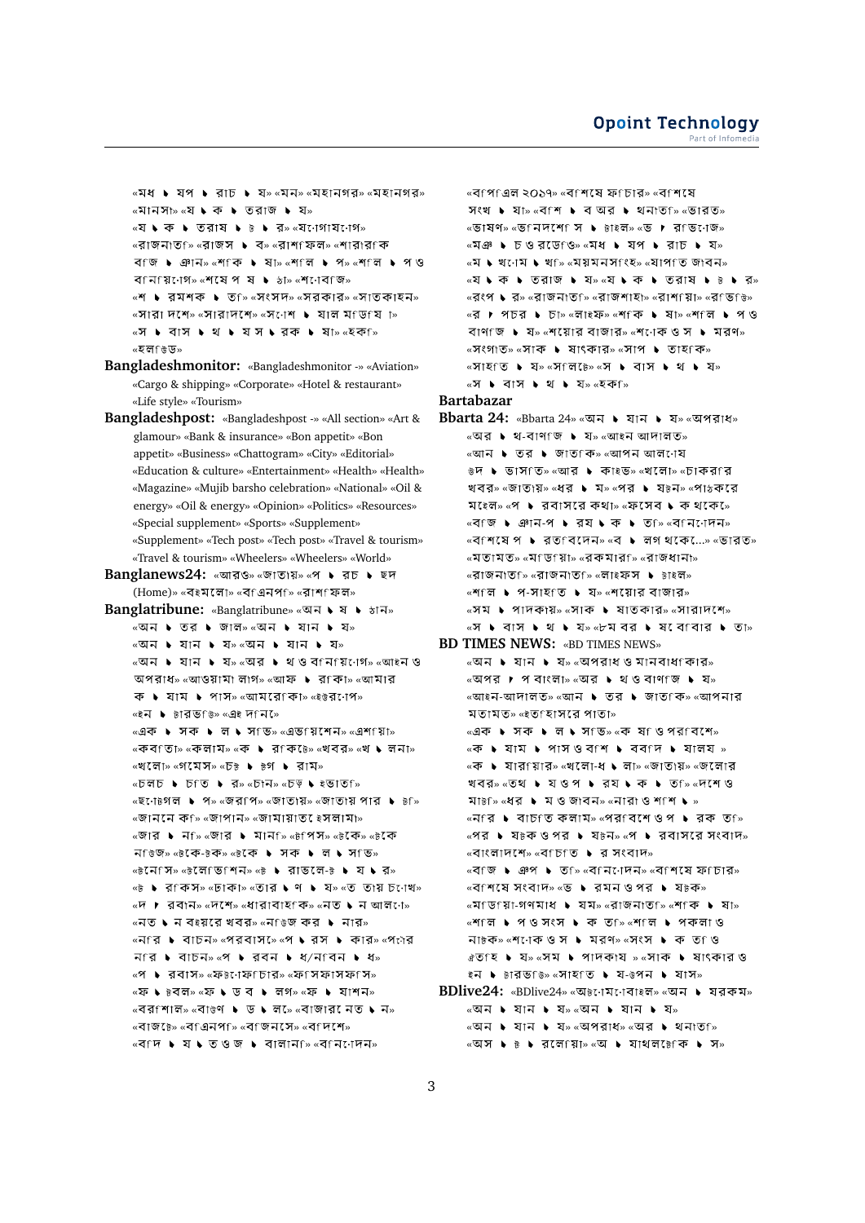$\overline{\mathbf{r}}$   $\mathbf{w}$   $\mathbf{v}$  and  $\mathbf{v}$  and  $\mathbf{v}$  and  $\mathbf{v}$  and  $\mathbf{v}$  and  $\mathbf{v}$  and  $\mathbf{v}$  and  $\mathbf{v}$  $\alpha$ মানসা≫ «যে ১ ক ১ তেরাজ ১ য»  $\alpha$   $\triangleright$   $\alpha$   $\triangleright$   $\beta$   $\triangleright$   $\beta$   $\triangleright$   $\beta$   $\alpha$   $\alpha$   $\alpha$   $\beta$   $\alpha$   $\beta$   $\beta$ « » « » « » « বি: • ঞান» «শ কি ▶ ষা» «শ লি ▶ প» «শ লি ▶ প ও বানায়ণেগ» «শষেপ ষ  $\blacktriangleright$   $\frac{1}{2}$ া» «শণেবাজ» «শ ▶ রমশক ▶ ত ি» «সংসদ» «সরকার» «সাতকাহন»  $\overline{X}$  ×  $\overline{X}$   $\overline{Y}$   $\overline{Y}$   $\overline{Y}$   $\overline{Y}$   $\overline{Y}$   $\overline{Y}$   $\overline{Y}$   $\overline{Y}$   $\overline{Y}$   $\overline{Y}$   $\overline{Y}$   $\overline{Y}$   $\overline{Y}$   $\overline{Y}$   $\overline{Y}$   $\overline{Y}$   $\overline{Y}$   $\overline{Y}$   $\overline{Y}$   $\overline{Y}$   $\overline{Y}$   $\overline{Y}$  «স ▶ বাস ▶ থ ▶ যস ▶ রক ▶ ষা» «হক »ি « »

**Bangladeshmonitor:** «Bangladeshmonitor -» «Aviation» «Cargo & shipping» «Corporate» «Hotel & restaurant» «Life style» «Tourism»

**Bangladeshpost:** «Bangladeshpost -» «All section» «Art & glamour» «Bank & insurance» «Bon appetit» «Bon appetit» «Business» «Chattogram» «City» «Editorial» «Education & culture» «Entertainment» «Health» «Health» «Magazine» «Mujib barsho celebration» «National» «Oil & energy» «Oil & energy» «Opinion» «Politics» «Resources» «Special supplement» «Sports» «Supplement» «Supplement» «Tech post» «Tech post» «Travel & tourism» «Travel & tourism» «Wheelers» «Wheelers» «World»

Banglanews24: «আরও» «জাতায়» «প ▶ রচ ▶ ছদ (Home)» «বইমলো» «বাএনপা» «রাশাফল»

Banglatribune: «Banglatribune» «অন  $\blacklozenge$  ষ  $\blacktriangleright$  *क्षान»* «অন ▶ তর ▶ জাল» «অন ▶ যান ▶ য»  $\overline{\text{}}$ «অন ▶ যান ▶ যান ▶ য $\overline{\text{}}$ » «অন ▶ যান ▶ য» «অর ▶ থওবfনfয় োগে» «আইনও অপরাধ» «আওয়ামা লাগ» «আফ  $\bullet$  র $f$ কা» «আমার  $\overline{P}$   $\bullet$   $\overline{P}$  and  $\bullet$   $\overline{P}$  and  $\overline{P}$  and  $\overline{P}$  and  $\overline{P}$  and  $\overline{P}$  and  $\overline{P}$  and  $\overline{P}$  and  $\overline{P}$  and  $\overline{P}$  and  $\overline{P}$  and  $\overline{P}$  and  $\overline{P}$  and  $\overline{P}$  and  $\overline{P}$  and  $\overline{P}$ «ইন ▶ টারভ<sub>ি» «</sub>এই দ<sub>ি</sub>ন»ে «এক ▶ সক ▶ ল ▶ স ভি» «এভ য়েশেনে» «এশ য়ে⊺» «কব তািচ «কলাম» «ক ▶ র কি ৳» «খবর» «খ ▶ লনা» «খলো» «গমেস» «চ৳ ▶ ৳গ ▶ রাম» «চলচ ▶ চাত ▶ র» «চান» «চড় ▶ ইভাত ি» «ছণো৳গল ▶ প» «জব পি» «জাতাংয়» «জাতাংয় পার ▶ ৳ি» «জাননে ক<sub>ি</sub>» «জাপান» «জামায়াত েইসলামা» «জার ▶ নf» «জার ▶ মানf» «টপিস» «টকে» «টকে নি উজি» «টকে-টক» «টকে ▶ সক ▶ ল ▶ স ভি» « » « » « - » «৳ ▶ রাকস» «ঢাকা» «তার ▶ ণ ▶ য» «ত তায় চণেখ» «দ ▶ রবান» «দশে» «ধারাবাহণক» «নত ▶ ন আল ো»  $\overline{\phantom{a}}$   $\overline{\phantom{a}}$   $\overline{\phantom{a}}$   $\overline{\phantom{a}}$   $\overline{\phantom{a}}$   $\overline{\phantom{a}}$   $\overline{\phantom{a}}$   $\overline{\phantom{a}}$   $\overline{\phantom{a}}$   $\overline{\phantom{a}}$   $\overline{\phantom{a}}$   $\overline{\phantom{a}}$   $\overline{\phantom{a}}$   $\overline{\phantom{a}}$   $\overline{\phantom{a}}$   $\overline{\phantom{a}}$   $\overline{\phantom{a}}$   $\overline{\phantom{a}}$   $\over$ «নির ▶ বাচন» «পরবাস»ে «প ▶ রস ▶ কার» «পলের » « / » «প ▶ রবাস» «ফ৳ৌফচার» «ফপিফাসফপি» «ফ ♦ ৳বল» «ফ ♦ ড ব ♦ লগ» «ফ ♦ যাশন»  $\overline{\mathsf{N}}$  < বালা  $\overline{\mathsf{N}}$  ×  $\overline{\mathsf{N}}$  ×  $\overline{\mathsf{N}}$  ×  $\overline{\mathsf{N}}$  ×  $\overline{\mathsf{N}}$  ×  $\overline{\mathsf{N}}$  ×  $\overline{\mathsf{N}}$  ×  $\overline{\mathsf{N}}$  ×  $\overline{\mathsf{N}}$  ×  $\overline{\mathsf{N}}$  ×  $\overline{\mathsf{N}}$  ×  $\overline{\mathsf{N}}$  ×  $\overline{\mathsf{N}}$  ×  $\overline{\mathsf{N}}$  ×  $\overline$ «বাজ৳ে» «বাএনপ<sub>ি</sub>» «বাজনসে» «বাদশে» «বি ়া ১ ষ ১ তেওঁ জ ১ বালান চি «বি নি োদন»

«বংপএল ২০১৭» «বংশমে ফংচাব» «বংশমে  $N(\mathcal{U})$   $\blacktriangleright$   $\mathcal{I}$  /  $\mathcal{N}$   $\mathcal{N}$   $\blacktriangleright$   $\mathcal{N}$   $\mathcal{N}$   $\mathcal{N}$   $\blacktriangleright$   $\mathcal{N}$   $\mathcal{N}$   $\mathcal{N}$   $\mathcal{N}$   $\mathcal{N}$   $\mathcal{N}$   $\mathcal{N}$   $\mathcal{N}$   $\mathcal{N}$   $\mathcal{N}$   $\mathcal{N}$   $\mathcal{N}$   $\mathcal{N}$   $\mathcal{N}$   $\mathcal{$ «ভাষণ» «ভানদশো স ▶ টাইল» «ভ ▶ রাভ•োজ»  $\alpha$ মঞ  $\blacktriangleright$  চওরডে ওি  $\alpha$ মধ  $\blacktriangleright$  য়প  $\blacktriangleright$  রাচ  $\blacktriangleright$  য» «ম ▶ খ্াম ▶ খ্ি «ময়মনস্ংহ» «যাপ্তি জাবন» «যে ১ কে ১ তেরাজ ১ য» «যে ১ কে ১ তেরাষ ১ ৳ ১ র»  $\sim$ রংপ  $\blacklozenge$  র $_{\bowtie}$ রাজনাত $\sim$  «রাজশাহা $_{\bowtie}$  «রাজ $\sim$ রাজ $\sim$ জ $_{\bowtie}$ «র ▶ পচর ▶ চা» «লাইফ» «শ কি ▶ ষা» «শ ল ▶ প ও বাণাজি ▶ য≫ «শয়োর বাজার» «শণেকে ও স ▶ মরণ» «সংগাত» «সাক ▶ ষাংকার» «সাপ ▶ তাহf ক» «সাহতি ▶ য» «স লিটে» «স ▶ বাস ▶ থ ▶ য»  $\sqrt{x}$   $\blacktriangleright$   $\sqrt{3}$   $\blacktriangleright$   $\sqrt{2}$   $\blacktriangleright$   $\sqrt{2}$   $\blacktriangleright$   $\sqrt{2}$   $\sqrt{3}$   $\blacktriangleright$   $\sqrt{2}$   $\blacktriangleright$   $\sqrt{2}$   $\blacktriangleright$   $\sqrt{2}$   $\blacktriangleright$   $\sqrt{2}$   $\blacktriangleright$   $\sqrt{2}$   $\blacktriangleright$   $\sqrt{2}$   $\blacktriangleright$   $\sqrt{2}$   $\blacktriangleright$   $\sqrt{2}$   $\blacktriangleright$   $\sqrt{2}$ **Bartabazar Bbarta 24:** «Bbarta 24» «অন ▶ যান ▶ য» «অপরাধ»  $\overline{\mathcal{C}}$ অর ▶ থ-বাণ জি ▶ য» «আইন আদালত» «আন ▶ তর ▶ জাত কি» «আপন আল োয উদ । ভাসতি» «আর । কাইভ» «খলো» «চাকরণর খবর» «জাতাঃয়» «ধর ▶ ম» «পর ▶ য৳ন» «পাঠকরে ম েলে» «প ▶ রবাসরে কথা» «ফসেব ▶ ক থকে ে  $\overline{\mathcal{C}}$   $\overline{\mathcal{C}}$   $\overline{\mathcal{C}}$   $\overline{\mathcal{C}}$   $\overline{\mathcal{C}}$   $\overline{\mathcal{C}}$   $\overline{\mathcal{C}}$   $\overline{\mathcal{C}}$   $\overline{\mathcal{C}}$   $\overline{\mathcal{C}}$   $\overline{\mathcal{C}}$   $\overline{\mathcal{C}}$   $\overline{\mathcal{C}}$   $\overline{\mathcal{C}}$   $\overline{\mathcal{C}}$   $\overline{\mathcal{C}}$   $\overline{\mathcal{C}}$   $\overline{\mathcal{C}}$   $\over$  $\overline{\mathcal{C}}$   $\overline{\mathcal{C}}$   $\overline{\mathcal{C}}$   $\overline{\mathcal{C}}$   $\overline{\mathcal{C}}$   $\overline{\mathcal{C}}$   $\overline{\mathcal{C}}$   $\overline{\mathcal{C}}$   $\overline{\mathcal{C}}$   $\overline{\mathcal{C}}$   $\overline{\mathcal{C}}$   $\overline{\mathcal{C}}$   $\overline{\mathcal{C}}$   $\overline{\mathcal{C}}$   $\overline{\mathcal{C}}$   $\overline{\mathcal{C}}$   $\overline{\mathcal{C}}$   $\overline{\mathcal{C}}$   $\over$ «মতামত» «মণ্ডায়া» «রকমারা» «রাজধানা»  $\mathbb{R}$ রাজনাত $\mathbb{R}$ » «রাজনাত $\mathbb{R}$ » «লাইফস  $\blacktriangleright$  টাইল»  $\mathbb{R}$   $\mathbb{R}$   $\mathbb{R}$   $\mathbb{R}$   $\mathbb{R}$   $\mathbb{R}$   $\mathbb{R}$   $\mathbb{R}$   $\mathbb{R}$   $\mathbb{R}$   $\mathbb{R}$   $\mathbb{R}$   $\mathbb{R}$   $\mathbb{R}$   $\mathbb{R}$   $\mathbb{R}$   $\mathbb{R}$   $\mathbb{R}$   $\mathbb{R}$   $\mathbb{R}$   $\mathbb{R}$   $\mathbb{R}$   $\mathbb{R}$   $\mathbb{R}$   $\math$  $\overline{X}$   $\rightarrow$   $\overline{X}$   $\rightarrow$   $\overline{X}$   $\rightarrow$   $\overline{X}$   $\rightarrow$   $\overline{X}$   $\rightarrow$   $\overline{X}$   $\rightarrow$   $\overline{X}$   $\rightarrow$   $\overline{X}$   $\rightarrow$   $\overline{X}$   $\rightarrow$   $\overline{X}$   $\rightarrow$   $\overline{X}$   $\rightarrow$   $\overline{X}$   $\rightarrow$   $\overline{X}$   $\rightarrow$   $\overline{X}$   $\rightarrow$   $\overline{X}$   $\rightarrow$   $\overline{X}$  «স ▶ বাস ▶ থ ▶ য» «৮মবর ▶ ষ বেণবার ▶ তা» **BD TIMES NEWS:** «BD TIMES NEWS» «অন ▶ যান ▶ য» «অপরাধ ও মানবাধাকার»  $\sim$ অপর  $\blacktriangleright$  প বাংলা $\sim$   $\sim$ অর  $\blacktriangleright$  থ ও বাণ জি  $\blacktriangleright$  য  $\overline{\mathcal{C}}$  আদালত» «আন  $\overline{\mathbf{v}}$  তর  $\overline{\mathbf{v}}$  জাত কি» «আপনার মতামত»  $\omega$ ইতাহাসবে পাতা» «এক ▶ সক ▶ ল ▶ স ভি» «ক ষ ওপের বেশে»  $\overline{\mathcal{A}}$   $\bullet$  যাম  $\bullet$  পাসওব শি  $\bullet$  বব পি  $\bullet$  যালয »  $\overline{\mathcal{A}}$  • যারfয়ার» «খলো-ধ • লা» «জাতায়» «জলোর খবর» «তথ ▶ যওপ ▶ রয ▶ ক ▶ ত ি «দেশেও মা $\overline{b}$ ি «ধর ▶ ম ও জাবন» «নারা ও শাশ ▶ » «নি'র ▶ বাচাত কলাম» «পর বেশেও প ▶ রক ত »  $\kappa$ পর  $\blacktriangleright$  য $\bar{v}$  ক ও পর  $\blacktriangleright$  য $\bar{v}$  কস $\kappa$   $\blacktriangleright$   $\kappa$  বাসরে সংবাদ»  $\mathbb{R}$ ৰাংলাদশে»  $\mathbb{R}$ ৰ্বি  $\mathbb{R}$  । ব সংবাদ» «বি ি ঞাপ ▶ তি ি «বি নি বেনে» «বিশেষে ফ্লিব»  $\overline{\mathcal{M}}$   $\overline{\mathcal{M}}$   $\overline{\mathcal{M}}$   $\overline{\mathcal{M}}$   $\overline{\mathcal{M}}$   $\overline{\mathcal{M}}$   $\overline{\mathcal{M}}$   $\overline{\mathcal{M}}$   $\overline{\mathcal{M}}$   $\overline{\mathcal{M}}$   $\overline{\mathcal{M}}$   $\overline{\mathcal{M}}$   $\overline{\mathcal{M}}$   $\overline{\mathcal{M}}$   $\overline{\mathcal{M}}$   $\overline{\mathcal{M}}$   $\overline{\mathcal{M}}$   $\overline{\mathcal{M}}$   $\over$  $\overline{X}$   $\overline{X}$   $\overline{Y}$   $\overline{Y}$   $\overline{Y}$   $\overline{Y}$   $\overline{Y}$   $\overline{Y}$   $\overline{Y}$   $\overline{Y}$   $\overline{Y}$   $\overline{Y}$   $\overline{Y}$   $\overline{Y}$   $\overline{Y}$   $\overline{Y}$   $\overline{Y}$   $\overline{Y}$   $\overline{Y}$   $\overline{Y}$   $\overline{Y}$   $\overline{Y}$   $\overline{Y}$   $\overline{Y}$   $\overline$ «শিল ▶ পওসংস ▶ ক ত ি «শিল ▶ পকলাও না৳ক» «শণেক ও স ▶ মরণ» «সংস ▶ ক ত ও  $\mathbb{R}$   $\mathbb{R}$   $\mathbb{R}$   $\rightarrow$   $\mathbb{R}$   $\mathbb{R}$   $\rightarrow$   $\mathbb{R}$   $\mathbb{R}$   $\mathbb{R}$   $\rightarrow$   $\mathbb{R}$   $\mathbb{R}$   $\rightarrow$   $\mathbb{R}$   $\mathbb{R}$   $\rightarrow$   $\mathbb{R}$   $\mathbb{R}$   $\rightarrow$   $\mathbb{R}$   $\mathbb{R}$   $\rightarrow$   $\mathbb{R}$   $\mathbb{R}$   $\rightarrow$   $\mathbb{R}$   $\mathbb{R}$  ইন ▶ টারভডি» «সাহত ▶ য-উপন ▶ যাস»

**BDlive24:** «BDlive24» «অ৳োমণেবাইল» «অন ▶ যরকম»  $\overline{\alpha}$ অন ১ যান ১ য় $\overline{\alpha}$  ১ যান ১ যে  $\overline{\mathbf{w}}$   $\bullet$  and  $\overline{\mathbf{w}}$  and  $\overline{\mathbf{w}}$  and  $\overline{\mathbf{w}}$  and  $\overline{\mathbf{w}}$  and  $\overline{\mathbf{w}}$  $\overline{\mathsf{w}}$ অস ▶ ৳ ▶ রলেণেয়া $\overline{\mathsf{w}}$  ৻আ ▶ যাথলটোক ▶ স $\overline{\mathsf{w}}$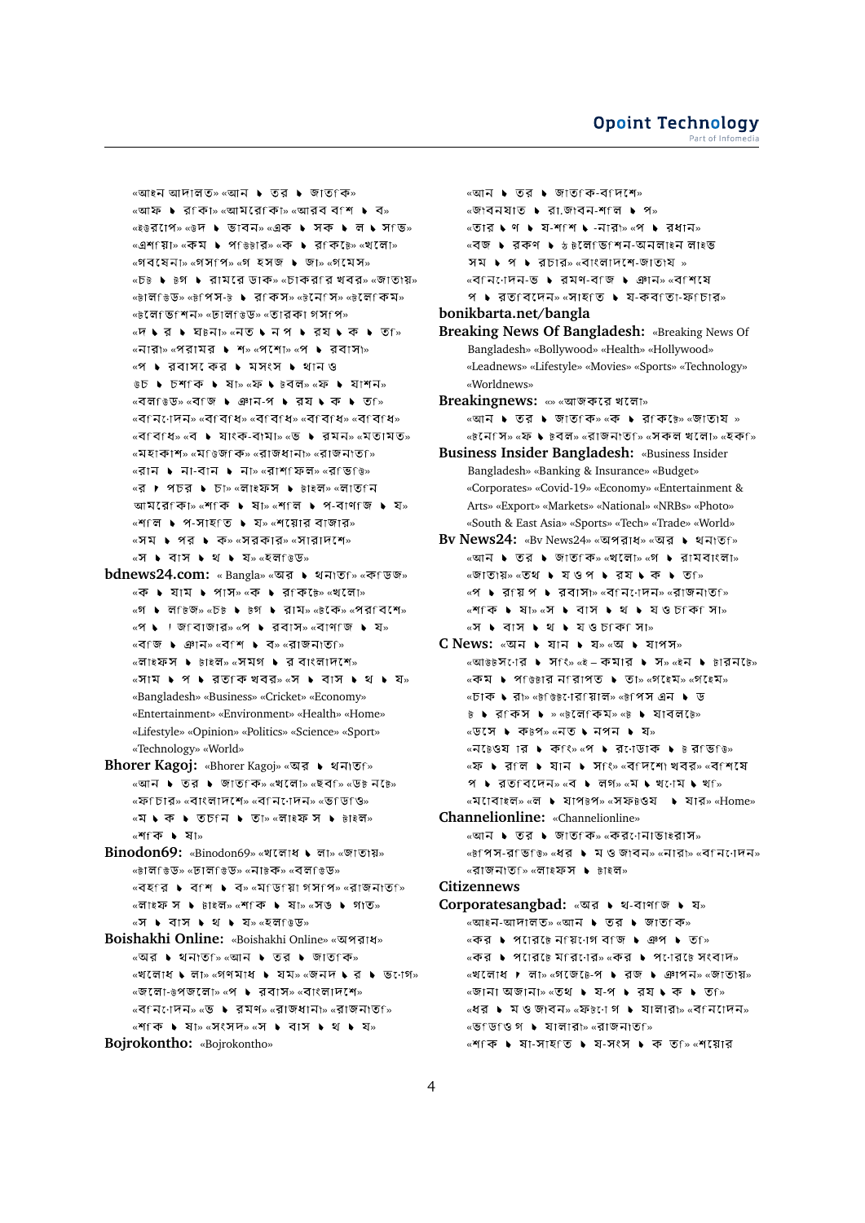«আইন আদালত» «আন ▶ তর ▶ জাতfক»  $\overline{\mathsf{w}}$ আফ ► র $\overline{\mathsf{q}}$ কিা $\overline{\mathsf{w}}$   $\overline{\mathsf{w}}$   $\overline{\mathsf{w}}$   $\overline{\mathsf{w}}$   $\overline{\mathsf{w}}$   $\overline{\mathsf{w}}$   $\overline{\mathsf{w}}$   $\overline{\mathsf{w}}$   $\overline{\mathsf{w}}$   $\overline{\mathsf{w}}$   $\overline{\mathsf{w}}$   $\overline{\mathsf{w}}$   $\overline{\mathsf{w}}$   $\overline{\mathsf{w}}$   $\overline{\mathsf{w}}$   $\overline{\mathsf{$ «ইউর াপে» «উদ ▶ ভাবন» «এক ▶ সক ▶ ল ▶ স ভি» «এশ য়াি» «কম ▶ প ভিটার» «ক ▶ র কি টে» «খ লাে»  $\mathbb{R}$  «গবষেনা» «গসপি» «গ হসজ ▶ জা» «গমেস»  $\overline{\phantom{a}}$   $\overline{\phantom{a}}$   $\overline{\phantom{a}}$   $\overline{\phantom{a}}$   $\overline{\phantom{a}}$   $\overline{\phantom{a}}$   $\overline{\phantom{a}}$   $\overline{\phantom{a}}$   $\overline{\phantom{a}}$   $\overline{\phantom{a}}$   $\overline{\phantom{a}}$   $\overline{\phantom{a}}$   $\overline{\phantom{a}}$   $\overline{\phantom{a}}$   $\overline{\phantom{a}}$   $\overline{\phantom{a}}$   $\overline{\phantom{a}}$   $\overline{\phantom{a}}$   $\over$  $\overline{\mathcal{C}}$   $\overline{\mathcal{C}}$   $\overline{\mathcal{C}}$   $\overline{\mathcal{C}}$   $\overline{\mathcal{C}}$   $\overline{\mathcal{C}}$   $\overline{\mathcal{C}}$   $\overline{\mathcal{C}}$   $\overline{\mathcal{C}}$   $\overline{\mathcal{C}}$   $\overline{\mathcal{C}}$   $\overline{\mathcal{C}}$   $\overline{\mathcal{C}}$   $\overline{\mathcal{C}}$   $\overline{\mathcal{C}}$   $\overline{\mathcal{C}}$   $\overline{\mathcal{C}}$   $\overline{\mathcal{C}}$   $\over$ «টলেভিশেন» «ঢালভিড» «তারকা গসপি» «দি ব চ ঘ¤না≫ «নৃত চ নেপ চ বুয চ ক চ ত ি»  $\mathbb{R}$ «নারা» «পরামর  $\blacktriangleright$  শ» «পশো» «প  $\blacktriangleright$  রবাসা» «প ▶ রবাস কের ▶ মসংস ▶ থানও  $\overline{v}$   $\overline{v}$   $\overline{v}$   $\overline{v}$  **b**  $\overline{v}$  **a**  $\overline{v}$  **b**  $\overline{v}$  **a**  $\overline{v}$  **b**  $\overline{v}$  **c**  $\overline{v}$  **b**  $\overline{v}$  **c**  $\overline{v}$  **c**  $\overline{v}$  **c**  $\overline{v}$  **c**  $\overline{v}$  **c**  $\overline{v}$  **c**  $\overline{v}$  **c**  $\overline{v}$  « » « - » «বাননেদন» «বাবাধ» «বাবাধ» «বাবাধ» «বাবাধ»  $\overline{\mathcal{C}}$   $\overline{\mathcal{C}}$   $\overline{\mathcal{C}}$   $\overline{\mathcal{C}}$   $\overline{\mathcal{C}}$   $\overline{\mathcal{C}}$   $\overline{\mathcal{C}}$   $\overline{\mathcal{C}}$   $\overline{\mathcal{C}}$   $\overline{\mathcal{C}}$   $\overline{\mathcal{C}}$   $\overline{\mathcal{C}}$   $\overline{\mathcal{C}}$   $\overline{\mathcal{C}}$   $\overline{\mathcal{C}}$   $\overline{\mathcal{C}}$   $\overline{\mathcal{C}}$   $\overline{\mathcal{C}}$   $\over$ «মহাকাশ» «মঙিজকি» «রাজধানা» «রাজনাতগি»  $\overline{\mathcal{C}}$ রান ▶ না-বান ▶ না» «রাশ $\overline{\mathcal{C}}$ ফল» «র $\overline{\mathcal{C}}$ জি» «র ▶ পচর ▶ চা» «লাইফস ▶ ৳াইল» «লাত নি আমরে: কা $\frac{1}{2}$  «শ: ক  $\bullet$  ষা $\frac{1}{2}$  «শ: ল  $\bullet$  প-বাণ জ  $\bullet$  য»  $\mathbb{R}$   $\mathbb{R}$   $\mathbb{R}$   $\mathbb{R}$   $\mathbb{R}$   $\mathbb{R}$   $\mathbb{R}$   $\mathbb{R}$   $\mathbb{R}$   $\mathbb{R}$   $\mathbb{R}$   $\mathbb{R}$   $\mathbb{R}$   $\mathbb{R}$   $\mathbb{R}$   $\mathbb{R}$   $\mathbb{R}$   $\mathbb{R}$   $\mathbb{R}$   $\mathbb{R}$   $\mathbb{R}$   $\mathbb{R}$   $\mathbb{R}$   $\mathbb{R}$   $\math$  $\alpha$ সম ▶ পর ▶ ক»  $\alpha$ সরকার»  $\alpha$ সারাদপে»  $\alpha$ স  $\blacktriangleright$  বাস  $\blacktriangleright$  থ  $\blacktriangleright$  য» $\alpha$ হল ভিড» **bdnews24.com:** « Bangla» «অর ▶ থনাতf» «কাডজ»

- «ক ▶ যাম ▶ পাস» «ক ▶ র কে ে» «খলো» «গ ▶ ল টিজ» «চ৳ ▶ ৳গ ▶ রাম» «৳কে» «পর বিশে»  $\mathbb{R}$  • । জাবাজার»  $\mathbb{R}$  • রবাস»  $\mathbb{R}$ বাণাজ • য» «বাজ ▶ ঞান» «বাশ ▶ ব» «রাজনাতা»  $\overline{\mathcal{C}}$ লাইফস ▶ টাইল» «সমগ ▶ র বাংলাদেশে» « » « » «Bangladesh» «Business» «Cricket» «Economy» «Entertainment» «Environment» «Health» «Home» «Lifestyle» «Opinion» «Politics» «Science» «Sport» «Technology» «World»
- **Bhorer Kagoj:** «Bhorer Kagoj» «অর ▶ থনাতf» «আন ▶ তর ▶ জাত কি» «খলো» «ছব ি» «ড৳ ন৳ে» «ফণচার» «বাংলাদশে» «বনেনেদন» «ভণ্ডণ্ও» «ম ১ ক ১ তচfন ১ তা» «লাইফ স ১ টাইল» «শিকি ▶ ষা»
- **Binodon69:** «Binodon69» «খলোধ ▶ লা» «জাতায়»  $\kappa$ নাল মিডি $\kappa$  « তাল মিডি $\kappa$  »  $\kappa$ নানক $\kappa$  »  $\kappa$ বল মিডি $\kappa$  $\mathbb{R}$  <  $\mathbb{R}$   $\mathbb{R}$   $\mathbb{R}$   $\mathbb{R}$   $\mathbb{R}$   $\mathbb{R}$   $\mathbb{R}$   $\mathbb{R}$   $\mathbb{R}$   $\mathbb{R}$   $\mathbb{R}$   $\mathbb{R}$   $\mathbb{R}$   $\mathbb{R}$   $\mathbb{R}$   $\mathbb{R}$   $\mathbb{R}$   $\mathbb{R}$   $\mathbb{R}$   $\mathbb{R}$   $\mathbb{R}$   $\mathbb{R}$   $\mathbb{R}$   $\math$ «লাইফ স ▶ টাইল» «শ<িক ▶ ষা» «সঙ ▶ গাত» «স ▶ বাস ▶ থ ▶ য» «হল ঙেড»
- **Boishakhi Online:** «Boishakhi Online» « »  $\alpha$ অর ▶ থনাত ি $\alpha$ আন ▶ তর ▶ জাত কি»  $\mathbb{R}$   $\mathbb{R}$   $\mathbb{R}$   $\mathbb{R}$   $\mathbb{R}$   $\mathbb{R}$   $\mathbb{R}$   $\mathbb{R}$   $\mathbb{R}$   $\mathbb{R}$   $\mathbb{R}$   $\mathbb{R}$   $\mathbb{R}$   $\mathbb{R}$   $\mathbb{R}$   $\mathbb{R}$   $\mathbb{R}$   $\mathbb{R}$   $\mathbb{R}$   $\mathbb{R}$   $\mathbb{R}$   $\mathbb{R}$   $\mathbb{R}$   $\mathbb{R}$   $\mathbb{$  $\sqrt{q}$   $\sqrt{q}$   $\sqrt{q}$   $\sqrt{q}$   $\sqrt{q}$   $\sqrt{q}$   $\sqrt{q}$   $\sqrt{q}$   $\sqrt{q}$   $\sqrt{q}$   $\sqrt{q}$   $\sqrt{q}$   $\sqrt{q}$   $\sqrt{q}$   $\sqrt{q}$   $\sqrt{q}$   $\sqrt{q}$   $\sqrt{q}$   $\sqrt{q}$   $\sqrt{q}$   $\sqrt{q}$   $\sqrt{q}$   $\sqrt{q}$   $\sqrt{q}$   $\sqrt{q}$   $\sqrt{q}$   $\sqrt{q}$   $\sqrt$ «বিনিশেদন» «ভ ▶ রমণ» «রাজধানা» «রাজনাত্তি «শ কি । ষা» «সংসদ» «স । বোস । থে । যে» **Bojrokontho:** «Bojrokontho»

 $\sim$ তার ১ ণ ১ য-শ $\sim$  ১ -নার $\sim$   $\sim$  ১ রধান $\sim$ <sup>«বজ্</sup> ▶ রকণ ▶ ১৳লেfভিfশন-অনলাইন লাইভ সম  $\triangleright$  প  $\triangleright$  রচার» «বাংলাদশে-জাতায় »  $\overline{\phantom{a}}$  < বানিটো কামি কামি কামি কামি কামি কা  $9 \rightarrow 30$  বিদেন» «সাহতি  $\rightarrow 2$ - কব $101$ -ফ $1513$ » **bonikbarta.net/bangla Breaking News Of Bangladesh:** «Breaking News Of Bangladesh» «Bollywood» «Health» «Hollywood» «Leadnews» «Lifestyle» «Movies» «Sports» «Technology» «Worldnews» **Breakingnews:** «» « » «আন ▶ তর ▶ জাত কি» «ক ▶ র কি ৳» «জাতায » «৳নেপি» «ফ ♦ ৳বল» «রাজনাত<sub>ি</sub>» «সকল খলো» «হক ি **Business Insider Bangladesh:** «Business Insider Bangladesh» «Banking & Insurance» «Budget» «Corporates» «Covid-19» «Economy» «Entertainment & Arts» «Export» «Markets» «National» «NRBs» «Photo» «South & East Asia» «Sports» «Tech» «Trade» «World» **Bv News24:** «Bv News24» «অপরাধ» «অর ▶ থনাতf»  $\overline{w}$   $\overline{w}$   $\overline{w}$   $\overline{w}$   $\overline{w}$   $\overline{w}$   $\overline{w}$   $\overline{w}$   $\overline{w}$   $\overline{w}$   $\overline{w}$   $\overline{w}$   $\overline{w}$   $\overline{w}$   $\overline{w}$   $\overline{w}$   $\overline{w}$   $\overline{w}$   $\overline{w}$   $\overline{w}$   $\overline{w}$   $\overline{w}$   $\overline{w}$   $\overline{w}$   $\over$  $\sim$  জাতায়» $\sim$ তথ  $\blacktriangleright$  যওপ  $\blacktriangleright$  রয  $\blacktriangleright$  ক  $\blacktriangleright$  ত  $\sim$  $\mathcal{A}$  • রায়প ▶ রবাসা≫ «বানেলেনে» «রাজনাতা≫ «শিকি ► ষা» «স ► বাস ► থ ► যওচাক সা» «স ▶ বাস ▶ থ ▶ যওচাকা সা» C News: «অন ▶ যান ▶ য» «অ ▶ যাপস»  $\overline{\mathbf{w}}$ আউটসনোর ▶ সংং $\overline{\mathbf{w}}$  । কমার ▶ স» $\overline{\mathbf{w}}$ ন ▶ চারনচে়  $\kappa$ কম ▶ পভিটার নৱিাপত ▶ তা»  $\kappa$ গহেম»  $\kappa$ গহেম»  $\overline{\text{w}}$  • রা»  $\overline{\text{w}}$ ট উট্যোর রালি»  $\overline{\text{w}}$ পিস এন • ড » « » « » «ডেসে ▶ কে<sup>∺প</sup>» «নত ▶ নপন ▶ য»  $\kappa$ ন  $\delta$ ওয়ার ▶ কাং $\kappa$  × ১ র থেডাক ▶ ৳ রভিঙ্গ «ফ ▶ রাল ▶ যান ▶ সাং» «বাদশো খবর» «বাশ্যে  $\mathcal{A}$   $\blacktriangleright$   $\exists$   $\mathcal{A}$  for  $\exists$   $\mathcal{A}$   $\mathcal{A}$   $\blacktriangleright$   $\exists$   $\mathcal{A}$   $\mathcal{B}$   $\mathcal{A}$   $\blacktriangleright$   $\exists$   $\mathcal{B}$   $\mathcal{B}$   $\mathcal{B}$   $\mathcal{B}$   $\mathcal{B}$   $\mathcal{B}$   $\mathcal{B}$   $\mathcal{B}$   $\mathcal{B}$   $\mathcal{B}$   $\mathcal{B}$   $\mathcal{B}$   $\$ «মাবোইল» «ল ▶ যাপটপ» «সফটওয ▶ যার» «Home» **Channelionline:** «Channelionline»  $\overline{\phantom{a}}$   $\overline{\phantom{a}}$   $\overline{\phantom{a}}$   $\overline{\phantom{a}}$   $\overline{\phantom{a}}$   $\overline{\phantom{a}}$   $\overline{\phantom{a}}$   $\overline{\phantom{a}}$   $\overline{\phantom{a}}$   $\overline{\phantom{a}}$   $\overline{\phantom{a}}$   $\overline{\phantom{a}}$   $\overline{\phantom{a}}$   $\overline{\phantom{a}}$   $\overline{\phantom{a}}$   $\overline{\phantom{a}}$   $\overline{\phantom{a}}$   $\overline{\phantom{a}}$   $\over$  $\overline{\mathcal{C}}$   $\overline{\mathcal{C}}$   $\overline{\mathcal{C}}$   $\overline{\mathcal{C}}$   $\overline{\mathcal{C}}$   $\overline{\mathcal{C}}$   $\overline{\mathcal{C}}$   $\overline{\mathcal{C}}$   $\overline{\mathcal{C}}$   $\overline{\mathcal{C}}$   $\overline{\mathcal{C}}$   $\overline{\mathcal{C}}$   $\overline{\mathcal{C}}$   $\overline{\mathcal{C}}$   $\overline{\mathcal{C}}$   $\overline{\mathcal{C}}$   $\overline{\mathcal{C}}$   $\overline{\mathcal{C}}$   $\over$ «বাজনাত∋ি «লাইফস ▶ ৳াইল» **Citizennews** Corporatesangbad: «অর ▶ থ-বাণাজ ▶ য»  $\overline{\text{w}}$ আইন-আদালত»  $\overline{\text{w}}$ আন  $\overline{\text{w}}$  তর  $\overline{\text{w}}$  জাত কি» <sup>«কের </sup> । পোরে৳ে নায়নোগ বাজ । ঞেপ । তে<sub>শি</sub>  $\kappa$ কর ▶ প $\iota$ ারে েম $\iota$ ার $\kappa$  «কর ▶ প $\iota$ ার ে সংবাদ $\kappa$  $\mathbb{R}$ খলোধ । লা» «গজে  $\mathbb{R}$  → রজ । ঞাপন» «জাতায়»

 $\overline{\phantom{a}}$ আন  $\overline{\phantom{a}}$  তর  $\overline{\phantom{a}}$  জাতfক-ব $f$ দশে»  $\frac{1}{2}$   $\frac{1}{2}$   $\frac{1}{2}$   $\frac{1}{2}$   $\frac{1}{2}$   $\frac{1}{2}$   $\frac{1}{2}$   $\frac{1}{2}$   $\frac{1}{2}$   $\frac{1}{2}$   $\frac{1}{2}$   $\frac{1}{2}$   $\frac{1}{2}$   $\frac{1}{2}$   $\frac{1}{2}$   $\frac{1}{2}$   $\frac{1}{2}$   $\frac{1}{2}$   $\frac{1}{2}$   $\frac{1}{2}$   $\frac{1}{2}$   $\frac{1}{2}$ 

 $\sqrt{8}$  ডিঙি গ ► যালারা $\sqrt{8}$  «রাজনাত $\sqrt{8}$  $\mathbb{R}$   $\mathbb{R}$   $\mathbb{R}$   $\mathbb{R}$   $\mathbb{R}$   $\mathbb{R}$   $\mathbb{R}$   $\mathbb{R}$   $\mathbb{R}$   $\mathbb{R}$   $\mathbb{R}$   $\mathbb{R}$   $\mathbb{R}$   $\mathbb{R}$   $\mathbb{R}$   $\mathbb{R}$   $\mathbb{R}$   $\mathbb{R}$   $\mathbb{R}$   $\mathbb{R}$   $\mathbb{R}$   $\mathbb{R}$   $\mathbb{R}$   $\mathbb{R}$   $\math$ 

 $\overline{\text{w}}$ জানা অজানা» «তথ ▶ য-প ▶ রয ▶ ক ▶ ত $\overline{\text{w}}$ «ধর ▶ ম ও জাবন» «ফ৳ো গ ▶ যালারা» «বনিোদন»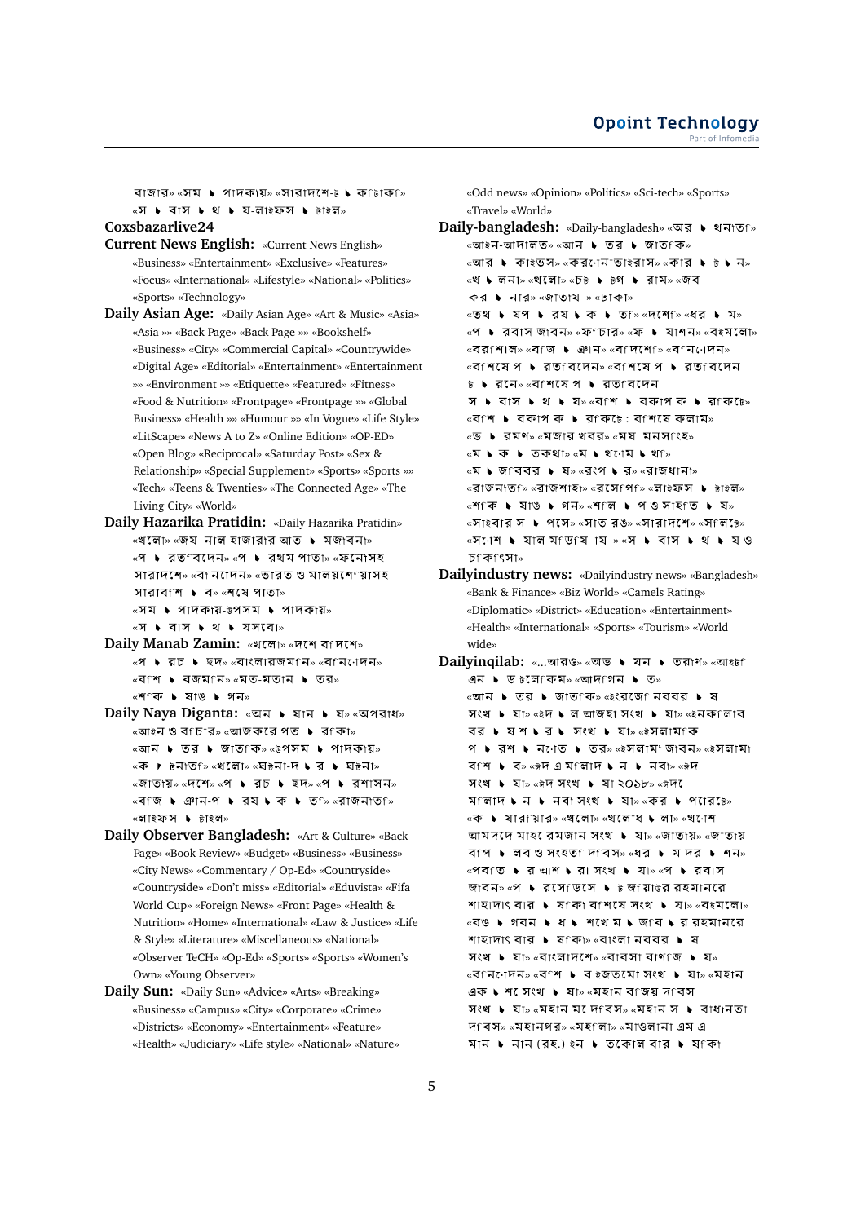বাজার» «সম $\bullet$  পাদকায়» «সারাদশে-৳  $\bullet$  কলিকি «স ▶ বাস ▶ থ ▶ য-লাইফস ▶ টাইল»

#### **Coxsbazarlive24**

- **Current News English:** «Current News English» «Business» «Entertainment» «Exclusive» «Features» «Focus» «International» «Lifestyle» «National» «Politics» «Sports» «Technology»
- **Daily Asian Age:** «Daily Asian Age» «Art & Music» «Asia» «Asia »» «Back Page» «Back Page »» «Bookshelf» «Business» «City» «Commercial Capital» «Countrywide» «Digital Age» «Editorial» «Entertainment» «Entertainment »» «Environment »» «Etiquette» «Featured» «Fitness» «Food & Nutrition» «Frontpage» «Frontpage »» «Global Business» «Health »» «Humour »» «In Vogue» «Life Style» «LitScape» «News A to Z» «Online Edition» «OP-ED» «Open Blog» «Reciprocal» «Saturday Post» «Sex & Relationship» «Special Supplement» «Sports» «Sports »» «Tech» «Teens & Twenties» «The Connected Age» «The Living City» «World»
- **Daily Hazarika Pratidin:** «Daily Hazarika Pratidin»  $\mathbb{R}$ খলো $\mathbb{R}$  «জয নাল হাজারার আত ▶ মজাবনা» «প ▶ রত বিদেন» «প ▶ রথম পাতা» «ফনোসহ সারাদশে» «বানিাদন» «ভারত ও মালয়শোয়াসহ সারাবাশ  $\bullet$  ব» «শ্ষে পাতা»  $\overline{\text{w}}$ সম  $\overline{\text{w}}$  পাদকায়- $\overline{\text{w}}$ পসম  $\overline{\text{w}}$  পাদকায় $\overline{\text{w}}$  $\alpha$   $\mathbf{v}$   $\mathbf{v}$  at  $\mathbf{v}$  at  $\mathbf{v}$  at  $\mathbf{v}$  at  $\mathbf{v}$  at  $\mathbf{v}$
- **Daily Manab Zamin: «খলো» «দশে বাদশে»** «প । রচ । ছদ» «বাংলারজমানি» «বানিোদন» «বিশি ▶ বজমfন» «মত-মতান ▶ তর»  $\mathsf{w}$ শিকি ▶ ষাঙ ▶ গন»
- **Daily Naya Diganta: «অন ▶ যান ▶ য» «অপরাধ»** «আইন ও বf চার» «আজকরে পত ▶ রf কা» «আন ▶ তর ▶ জাত কি» «উপসম ▶ পাদকায়» «ক ▶ ৳নাত ি» «খলো» «ঘ৳না-দ ▶ র ▶ ঘ৳না» «জাতাংয়» «দশে» «প ▶ রচ ▶ ছদ» «প ▶ রশাসন» «বি'জি ▶ ঞান-প ▶ রয ▶ ক ▶ ত ি «রাজনাত ি» «লাইফস ▶ টাইল»
- **Daily Observer Bangladesh:** «Art & Culture» «Back Page» «Book Review» «Budget» «Business» «Business» «City News» «Commentary / Op-Ed» «Countryside» «Countryside» «Don't miss» «Editorial» «Eduvista» «Fifa World Cup» «Foreign News» «Front Page» «Health & Nutrition» «Home» «International» «Law & Justice» «Life & Style» «Literature» «Miscellaneous» «National» «Observer TeCH» «Op-Ed» «Sports» «Sports» «Women's Own» «Young Observer»
- **Daily Sun:** «Daily Sun» «Advice» «Arts» «Breaking» «Business» «Campus» «City» «Corporate» «Crime» «Districts» «Economy» «Entertainment» «Feature» «Health» «Judiciary» «Life style» «National» «Nature»

«Odd news» «Opinion» «Politics» «Sci-tech» «Sports» «Travel» «World»

- **Daily-bangladesh:** «Daily-bangladesh» « यत्र । शनाउनि «আইন-আদালত» «আন ▶ তর ▶ জাতfক» «আর ▶ কাইভস» «কর্ণেনাভাইরাস» «কার ▶ ৳ ▶ ন» «খ ► লনা» «খলো» «চ৳ ► ৳গ ► রাম» «জব কর ▶ নার» «জাতায » «ঢাকা»  $\overline{x}$   $\overline{y}$   $\overline{y}$   $\overline{y}$   $\overline{y}$   $\overline{y}$   $\overline{y}$   $\overline{y}$   $\overline{y}$   $\overline{y}$   $\overline{y}$   $\overline{y}$   $\overline{y}$   $\overline{y}$   $\overline{y}$   $\overline{y}$   $\overline{y}$   $\overline{y}$   $\overline{y}$   $\overline{y}$   $\overline{y}$   $\overline{y}$   $\overline{y}$   $\overline{y}$   $\overline{y$ «প ▶ ববাস জাবন» «ফ্চিার» «ফ ▶ যাশন» «বইমলো»  $\mathbb{R}$  < বর্শাল» «বংজ । ঞান» «বংদশে » «বংন োদন»  $\overline{\mathcal{M}}$   $\overline{\mathcal{M}}$   $\overline{\mathcal{M}}$   $\overline{\mathcal{M}}$   $\overline{\mathcal{M}}$   $\overline{\mathcal{M}}$   $\overline{\mathcal{M}}$   $\overline{\mathcal{M}}$   $\overline{\mathcal{M}}$   $\overline{\mathcal{M}}$   $\overline{\mathcal{M}}$   $\overline{\mathcal{M}}$   $\overline{\mathcal{M}}$   $\overline{\mathcal{M}}$   $\overline{\mathcal{M}}$   $\overline{\mathcal{M}}$   $\overline{\mathcal{M}}$   $\overline{\mathcal{M}}$   $\over$ ৳ ▶ রনে» «বাশষে প ▶ রতাবদেন স ▶ বাস ▶ থ ▶ য» «ব শ ▶ বকাপ ক ▶ র ক ে:  $\kappa$ বিশ  $\blacktriangleright$  বকাপ ক  $\blacktriangleright$  রাকি :ে বাশিষে কলাম $\triangleright$ «ভ ▶ রমণ» «মজার খবর» «ময মনসাংহ»  $\alpha$ ম  $\blacktriangleright$  ক  $\blacktriangleright$  তকথা $\triangleright$   $\alpha$ ম  $\blacktriangleright$  থ $\alpha$   $\blacktriangleright$  থা $\alpha$ «ম • জ বিবর • ষ» «রংপ • র» «রাজধানা» «রাজনাত<sub>ি</sub>» «রাজশাহা» «রসেপি ি» «লাইফস **▶** টাইল» «শিকি ▶ ষাঙ ▶ গন» «শ লি ▶ প ও সাহ ত ▶ য» « » « » « » « »  $\overline{X}$   $\overline{Y}$   $\overline{Y}$   $\overline{Y}$   $\overline{Y}$   $\overline{Y}$   $\overline{Y}$   $\overline{Y}$   $\overline{Y}$   $\overline{Y}$   $\overline{Y}$   $\overline{Y}$   $\overline{Y}$   $\overline{Y}$   $\overline{Y}$   $\overline{Y}$   $\overline{Y}$   $\overline{Y}$   $\overline{Y}$   $\overline{Y}$   $\overline{Y}$   $\overline{Y}$   $\overline{Y}$   $\overline{Y}$   $\overline{$ »
- **Dailyindustry news:** «Dailyindustry news» «Bangladesh» «Bank & Finance» «Biz World» «Camels Rating» «Diplomatic» «District» «Education» «Entertainment» «Health» «International» «Sports» «Tourism» «World wide»
- **Dailyinqilab: «...আরও» «অভ ▶ যন ▶ তরাণ» «আইটা** এন ▶ ড ৳লেকিম» «আদগিন ▶ ত» «আন ▶ তর ▶ জাত কি» «≷ংরজে নেববর ▶ ষ সংখ ▶ যা» «ইদ ▶ ল আজহা সংখ ▶ যা» «ইনকfলাব বর ▶ ষশ ▶ র ▶ সংখ ▶ যা≫ «ইসলাম ক প • রশ • ন $\cdot$ াত • তর» «ইসলামা জাবন» «ইসলামা » « » «  $\overline{X}$   $\overline{Y}$   $\overline{Y}$   $\overline{Y}$   $\overline{Y}$   $\overline{Y}$   $\overline{Y}$   $\overline{Y}$   $\overline{Y}$   $\overline{Y}$   $\overline{Y}$   $\overline{Y}$   $\overline{Y}$   $\overline{Y}$   $\overline{Y}$   $\overline{Y}$   $\overline{Y}$   $\overline{Y}$   $\overline{Y}$   $\overline{Y}$   $\overline{Y}$   $\overline{Y}$   $\overline{Y}$   $\overline{Y}$   $\overline{$ ম লাদ ► ন ► নবা সংখ ► যা» «কর ► পারে ে» «ক ▶ যারfয়ার» «খলো» «খলোধ ▶ লা» «খণেশ আমদদে মাহ রেমজান সংখ ▶ যা» «জাতায়» «জাতায় বি ়াপ । লোবও সংহত দিবেস» «ধর । মেদার । শোন» «পব তি ▶ র আশ ▶ রা সংখ ▶ যা» «প ▶ রবাস জাবন» «প ▶ রসেডেসে ▶ ৳ জfয়া৳র রহমানরে  $\overline{a}$   $\overline{a}$   $\overline{a}$   $\overline{a}$   $\overline{a}$   $\overline{a}$   $\overline{a}$   $\overline{a}$   $\overline{a}$   $\overline{a}$   $\overline{a}$   $\overline{a}$   $\overline{a}$   $\overline{a}$   $\overline{a}$   $\overline{a}$   $\overline{a}$   $\overline{a}$   $\overline{a}$   $\overline{a}$   $\overline{a}$   $\overline{a}$   $\overline{a}$   $\overline{a}$   $\overline{$ «বঙ ▶ গবন ▶ ধ ▶ শথে ম ▶ জ ব ▶ র রহমানর শাহাদাং বার ▶ ষাকা» «বাংলা নববর ▶ ষ সংখ  $\bullet$  যা» «বাংলাদেশে» «বাবসা বাণাজ  $\bullet$  য» «বানিোদন» «বাশ ▶ ব ইজতমো সংখ ▶ যা» «মহান এক ১ শ সংখ ১ যা» «মহান বাজয় দাবস সংখ  $\bullet$  যা» «মহান মদেবিস» «মহান স  $\bullet$  বাধানতা দবেস» «মহানগর» «মহালা» «মাওলানা এম এ মান  $\blacktriangleright$  নান (রহ.) ইন  $\blacktriangleright$  তকোল বার  $\blacktriangleright$  ষকো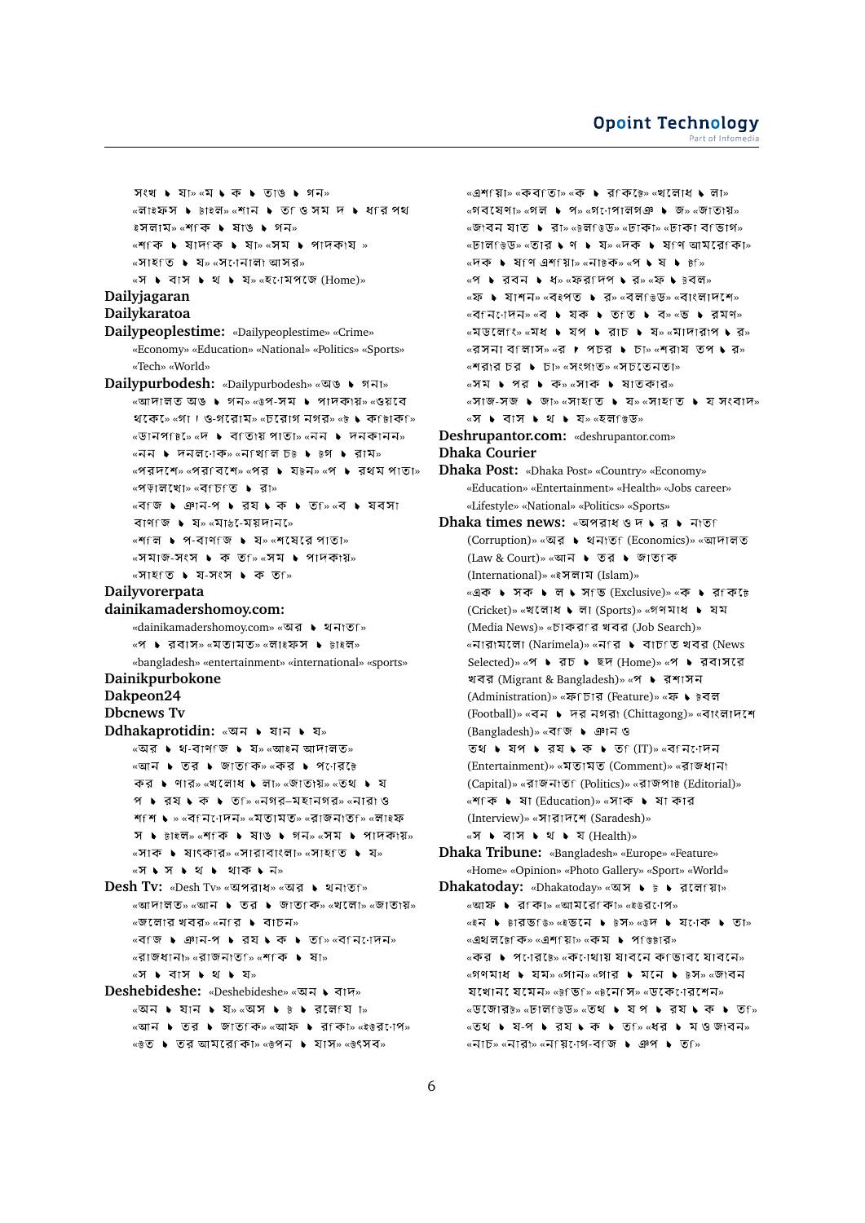» « » «লাইফস ▶ টাইল» «শান ▶ ত ওি সম দ ▶ ধfর পথ ইসলাম» «শ কি ▶ ষাঙ ▶ গন» «শিকি ▶ ষাদকি ▶ ষা» «সম ▶ পাদকায »  $\sqrt{x}$ সাহত ► য» «সণেনালা আসর»  $\alpha$ স  $\blacktriangleright$  বাস  $\blacktriangleright$  থ  $\blacktriangleright$  য» $\alpha$ হনোমপজে (Home)» **Dailyjagaran Dailykaratoa Dailypeoplestime:** «Dailypeoplestime» «Crime» «Economy» «Education» «National» «Politics» «Sports» «Tech» «World» **Dailypurbodesh:** «Dailypurbodesh» «অঙ ▶ গনা»  $\overline{\mathcal{C}}$   $\overline{\mathcal{C}}$   $\overline{\mathcal{C}}$   $\overline{\mathcal{C}}$   $\overline{\mathcal{C}}$   $\overline{\mathcal{C}}$   $\overline{\mathcal{C}}$   $\overline{\mathcal{C}}$   $\overline{\mathcal{C}}$   $\overline{\mathcal{C}}$   $\overline{\mathcal{C}}$   $\overline{\mathcal{C}}$   $\overline{\mathcal{C}}$   $\overline{\mathcal{C}}$   $\overline{\mathcal{C}}$   $\overline{\mathcal{C}}$   $\overline{\mathcal{C}}$   $\overline{\mathcal{C}}$   $\over$ থকে  $\sim$  «গা। ও-গরোম» «চরোগ নগর» «৳  $\bullet$  কr ৳াক ি «ডানপf৳ে «দ ▶ বfতায় পাতা» «নন ▶ দনকানন»  $\overline{\phantom{a}}$   $\overline{\phantom{a}}$   $\overline{\phantom{a}}$   $\overline{\phantom{a}}$   $\overline{\phantom{a}}$   $\overline{\phantom{a}}$   $\overline{\phantom{a}}$   $\overline{\phantom{a}}$   $\overline{\phantom{a}}$   $\overline{\phantom{a}}$   $\overline{\phantom{a}}$   $\overline{\phantom{a}}$   $\overline{\phantom{a}}$   $\overline{\phantom{a}}$   $\overline{\phantom{a}}$   $\overline{\phantom{a}}$   $\overline{\phantom{a}}$   $\overline{\phantom{a}}$   $\over$  $\mathbb{R}$  «পর $\mathbb{R}$  স $\mathbb{R}$   $\mathbb{R}$   $\mathbb{R}$   $\mathbb{R}$   $\mathbb{R}$   $\mathbb{R}$   $\mathbb{R}$   $\mathbb{R}$   $\mathbb{R}$   $\mathbb{R}$   $\mathbb{R}$   $\mathbb{R}$   $\mathbb{R}$   $\mathbb{R}$   $\mathbb{R}$   $\mathbb{R}$   $\mathbb{R}$   $\mathbb{R}$   $\mathbb{R}$   $\mathbb{R}$   $\mathbb{R}$   $\mathbb{R}$ «পড়ালখো» «বfচfত ▶ রা» «বি: • ঞান-প • রয • ক • ত ি ∝ব • যবসা বাণ জ  $\bullet$  য» «মা $b$ -েময়দান»  $\mathbb{R}$   $\mathbb{R}$   $\mathbb{R}$   $\mathbb{R}$   $\mathbb{R}$   $\mathbb{R}$   $\mathbb{R}$   $\mathbb{R}$   $\mathbb{R}$   $\mathbb{R}$   $\mathbb{R}$   $\mathbb{R}$   $\mathbb{R}$   $\mathbb{R}$   $\mathbb{R}$   $\mathbb{R}$   $\mathbb{R}$   $\mathbb{R}$   $\mathbb{R}$   $\mathbb{R}$   $\mathbb{R}$   $\mathbb{R}$   $\mathbb{R}$   $\mathbb{R}$   $\math$ « - » « »  $\sqrt{3}$   $\sqrt{2}$   $\sqrt{2}$   $\sqrt{2}$   $\sqrt{2}$   $\sqrt{2}$   $\sqrt{2}$   $\sqrt{2}$   $\sqrt{2}$   $\sqrt{2}$   $\sqrt{2}$   $\sqrt{2}$   $\sqrt{2}$   $\sqrt{2}$   $\sqrt{2}$   $\sqrt{2}$   $\sqrt{2}$   $\sqrt{2}$   $\sqrt{2}$   $\sqrt{2}$   $\sqrt{2}$   $\sqrt{2}$   $\sqrt{2}$   $\sqrt{2}$   $\sqrt{2}$   $\sqrt{2}$   $\sqrt{2}$   $\sqrt{$ **Dailyvorerpata dainikamadershomoy.com:** «dainikamadershomoy.com» «অর ▶ থনাতf» «প ▶ রবাস» «মতামত» «লাইফস ▶ টাইল» «bangladesh» «entertainment» «international» «sports» **Dainikpurbokone Dakpeon24 Dbcnews Tv Ddhakaprotidin: «अन । यान । य»**  $\alpha$ অর ▶ থ-বাণাজ ▶ য» $\alpha$ আইন আদালত» «আন ▶ তর ▶ জাত কি» «কর ▶ প োরে ৳ কর ▶ ণার» «খলোধ ▶ লা» «জাতায়» «তথ ▶ য প  $\bullet$  রয  $\bullet$  ক  $\bullet$  ত ি «নগর-মহানগর» «নারা ও শাশি ▶ » «বানিোদন» «মতামত» «রাজনাতা» «লাইফ স  $\triangleright$  টাইল» «শ<িক  $\triangleright$  যাঙ  $\triangleright$  গন» «সম  $\triangleright$  পাদকায়» «সাক ▶ ষাৎকার» «সারাবাংলা» «সাহতি ▶ য» «স ⊾ স ⊾ থ ৷⊾ থাক ⊾ ন» **Desh Tv:** «Desh Tv» «অপরাধ» «অর ▶ থনাতf» «আদালত» «আন ▶ তর ▶ জাত কি» «খলো» «জাতায়» «জলোর খবর» «নার ▶ বাচন»  $\overline{\mathcal{C}}$ ৰি জান-প ১ রয ১ ক ১ তি ি «বিনি াদেন» «রাজধানা» «রাজনাত<sub>ি</sub>» «শাক ▶ ষা» «স ▶ বাস ▶ থ ▶ য» **Deshebideshe:** «Deshebideshe» «जन  $\blacklozenge$  বাদ»  $\overline{\text{w}}$ অন ▶ যান ▶ য≫  $\text{w}}$ আস ▶ ৳ ▶ রলামে া≫ «আন ▶ তর ▶ জাত কি» «আফ ▶ র কা» «ইউর োপ»

 $\star$   $\bullet$   $\bullet$  তুর আমরে কো»  $\star$   $\bullet$  পেন  $\bullet$  যাস»  $\star$   $\star$  ওপেব»

 $\mathbb{R}$ এশি য়িা» «কব তিা» «ক । রেকিটে» «খলোধ । লাে» «গবষেণা» «গল ▶ প» «গণেপালগঞ ▶ জ» «জাতায়» «জাবন যাত ▶ রা» «৳লভিড» «ঢাকা» «ঢাকা বাভাগ» «ঢাল েঙড» «তার ♦ ণ ♦ য≫ «দক ♦ ষ ণ আমরে কো»  $\overline{\mathcal{C}}$   $\overline{\mathcal{C}}$   $\overline{\mathcal{C}}$   $\overline{\mathcal{C}}$   $\overline{\mathcal{C}}$   $\overline{\mathcal{C}}$   $\overline{\mathcal{C}}$   $\overline{\mathcal{C}}$   $\overline{\mathcal{C}}$   $\overline{\mathcal{C}}$   $\overline{\mathcal{C}}$   $\overline{\mathcal{C}}$   $\overline{\mathcal{C}}$   $\overline{\mathcal{C}}$   $\overline{\mathcal{C}}$   $\overline{\mathcal{C}}$   $\overline{\mathcal{C}}$   $\overline{\mathcal{C}}$   $\over$ «প ▶ রবন ▶ ধ» «ফর দিপ ▶ র» «ফ ▶ ৳বল»  $\overline{a}$  • যাশন»  $\overline{a}$  < বে $\overline{a}$  • র»  $\overline{a}$  বাউড»  $\overline{a}$  বাংলাদেশে»  $\overline{\mathcal{C}}$   $\overline{\mathcal{C}}$   $\overline{\mathcal{C}}$   $\overline{\mathcal{C}}$   $\overline{\mathcal{C}}$   $\overline{\mathcal{C}}$   $\overline{\mathcal{C}}$   $\overline{\mathcal{C}}$   $\overline{\mathcal{C}}$   $\overline{\mathcal{C}}$   $\overline{\mathcal{C}}$   $\overline{\mathcal{C}}$   $\overline{\mathcal{C}}$   $\overline{\mathcal{C}}$   $\overline{\mathcal{C}}$   $\overline{\mathcal{C}}$   $\overline{\mathcal{C}}$   $\overline{\mathcal{C}}$   $\over$  $\sqrt{a}$   $\sqrt{a}$   $\sqrt{a}$   $\sqrt{a}$   $\sqrt{a}$   $\sqrt{a}$   $\sqrt{a}$   $\sqrt{a}$   $\sqrt{a}$   $\sqrt{a}$   $\sqrt{a}$   $\sqrt{a}$   $\sqrt{a}$   $\sqrt{a}$   $\sqrt{a}$   $\sqrt{a}$   $\sqrt{a}$   $\sqrt{a}$   $\sqrt{a}$   $\sqrt{a}$   $\sqrt{a}$   $\sqrt{a}$   $\sqrt{a}$   $\sqrt{a}$   $\sqrt{a}$   $\sqrt{a}$   $\sqrt{a}$   $\sqrt{a$ «রসনা বালাস» «র ▶ পচর ▶ চা» «শরায তপ ▶ র» «শরার চর ▶ চা» «সংগাত» «সচতেনতা»  $\sqrt{x}$  • পর • ক» «সাক • ষাতকার»  $\mathbb{R}$   $\mathbb{R}$  -  $\mathbb{R}$   $\mathbb{R}$   $\mathbb{R}$   $\mathbb{R}$   $\mathbb{R}$   $\mathbb{R}$   $\mathbb{R}$   $\mathbb{R}$   $\mathbb{R}$   $\mathbb{R}$   $\mathbb{R}$   $\mathbb{R}$   $\mathbb{R}$   $\mathbb{R}$   $\mathbb{R}$   $\mathbb{R}$   $\mathbb{R}$   $\mathbb{R}$   $\mathbb{R}$   $\mathbb{R}$   $\mathbb{R}$   $\mathbb{R}$   $\math$  $\alpha$ স ▶ বাস ▶ থ ▶ য»  $\alpha$ হল ভিড» **Deshrupantor.com:** «deshrupantor.com» **Dhaka Courier Dhaka Post:** «Dhaka Post» «Country» «Economy» «Education» «Entertainment» «Health» «Jobs career» «Lifestyle» «National» «Politics» «Sports» **Dhaka times news:** « (Corruption)» «অর ▶ থনাতf (Economics)» «আদালত (Law & Court)» « (International)» «ইসলাম (Islam)» «এক ▶ সক ▶ ল ▶ স ভ (Exclusive)» «ক ▶ র কি টে (Cricket)» «খলোধ ▶ লা (Sports)» «গণমাধ ▶ যম (Media News)» «চাকরণর খবর (Job Search)» «নারামলো (Narimela)» «নার ▶ বাচাত খবর (News Selected)» «প • রচ • ছদ (Home)» «প • রবাসরে খবর (Migrant & Bangladesh)» «প ▶ রশাসন (Administration)» «ফ<sub>ি</sub>চার (Feature)» «ফ ১ ৳বল (Football)» «বন ▶ দর নগরা (Chittagong)» «বাংলাদশে (Bangladesh)» « (IT)» « (Entertainment)» «মতামত (Comment)» «রাজধানা (Capital)» «রাজনাতা (Politics)» «রাজপা৳ (Editorial)» «শাকি ▶ ষা (Education)» «সাক ▶ ষা কার (Interview)» «সারাদশে (Saradesh)» «স ▶ বাস ▶ থ ▶ য (Health)» **Dhaka Tribune:** «Bangladesh» «Europe» «Feature» «Home» «Opinion» «Photo Gallery» «Sport» «World» **Dhakatoday:** «Dhakatoday» «অস ▶ ৳ ▶ রলেfয়া» «আফ ▶ রাকা» «আমরোকা» «ইউরণেপ» «ইন ▶ টারভfউ» «ই**ভনে ▶ টস**» «উদ ▶ যণেক ▶ তা»  $\mathbb{R}$ এথলটেকি» $\mathbb{R}$ এশিয়াি» $\mathbb{R}$ কম ▶ পডিটার» «কর ▶ পণের৳» «কণেথায় যাবনে কাভাব যোবনে»  $\overline{X}$   $\rightarrow$   $\overline{X}$   $\rightarrow$   $\overline{X}$   $\rightarrow$   $\overline{X}$   $\rightarrow$   $\overline{X}$   $\rightarrow$   $\overline{X}$   $\rightarrow$   $\overline{X}$   $\rightarrow$   $\overline{X}$   $\rightarrow$   $\overline{X}$   $\rightarrow$   $\overline{X}$   $\rightarrow$   $\overline{X}$   $\rightarrow$   $\overline{X}$   $\rightarrow$   $\overline{X}$   $\rightarrow$   $\overline{X}$   $\rightarrow$   $\overline{X}$   $\rightarrow$   $\overline{X}$  যখোন েযমেন» «টভিঙি «টনেসি» «ডকেণেরশেন» «ডজোরে<sub>ট»</sub> «ঢাল ডিড» «তথ **১** যপ **১** রয **১** ক **১** ত <sub>»</sub>  $\overline{\text{X}}$   $\overline{\text{S}}$   $\overline{\text{S}}$   $\overline{\text{S}}$   $\overline{\text{S}}$   $\overline{\text{S}}$   $\overline{\text{S}}$   $\overline{\text{S}}$   $\overline{\text{S}}$   $\overline{\text{S}}$   $\overline{\text{S}}$   $\overline{\text{S}}$   $\overline{\text{S}}$   $\overline{\text{S}}$   $\overline{\text{S}}$   $\overline{\text{S}}$   $\overline{\text{S}}$   $\overline{\text{S}}$   $\overline{\text{S}}$   $\overline{\text{S}}$   $\overline{\text{w}}$ নাচ»  $\overline{\text{w}}$ নারা $\overline{\text{w}}$   $\overline{\text{w}}$   $\overline{\text{w}}$   $\overline{\text{w}}$   $\overline{\text{w}}$   $\overline{\text{w}}$   $\overline{\text{w}}$   $\overline{\text{w}}$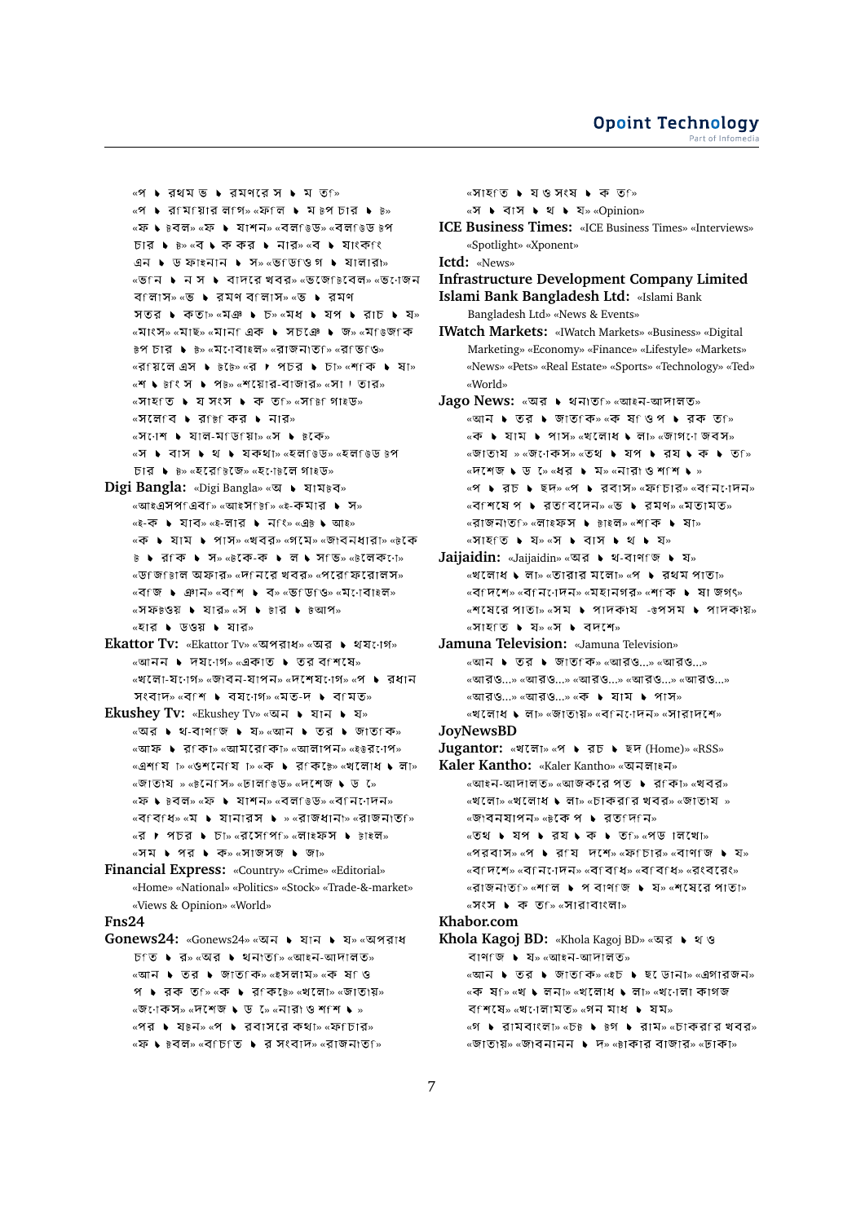<sup>«প</sup> ▶ রথমভ ▶ রমণরে স ▶ ম ত ি  $\mathbb{R}$  । রামায়ার লাগ» «ফাল । মে ৳প চার । ৳» «ফ ♦ ৳বল» «ফ ♦ যাশন» «বলf৳ড» «বলf৳ড ৳প  $\Sigma$ চার ▶  $\overline{b}$ » «ব ▶ ক কর ▶ নার» «ব ▶ যাংক $\Omega$ ং এন  $\bullet$  ড ফাইনান  $\bullet$  স» «ভাডাও গ $\bullet$  যালারা» «ভ<sub>ি</sub>নি ▶ ন স ▶ বাদরে খবর» «ভজে চেবেল» «ভ োজন বিলাস» «ভ ► রমণ বালাস» «ভ ► রমণ সতর ▶ কতা» «মঞ ▶ চ» «মধ ▶ যপ ▶ রাচ ▶ য» «মাংস» «মাছ» «মান এক ▶ সচঞে ▶ জ» «মfেজ কে » « » « » « » «রি'য়েলে এস ▶ ৳ ৈ» «র ▶ পচর ▶ চা» «শৃং ক ▶ ষা»  $\mathbb{R}$   $\mathbb{R}$   $\mathbb{R}$   $\mathbb{R}$   $\mathbb{R}$   $\mathbb{R}$   $\mathbb{R}$   $\mathbb{R}$   $\mathbb{R}$   $\mathbb{R}$   $\mathbb{R}$   $\mathbb{R}$   $\mathbb{R}$   $\mathbb{R}$   $\mathbb{R}$   $\mathbb{R}$   $\mathbb{R}$   $\mathbb{R}$   $\mathbb{R}$   $\mathbb{R}$   $\mathbb{R}$   $\mathbb{R}$   $\mathbb{R}$   $\mathbb{R}$   $\math$  $\mathbb{R}$   $\mathbb{R}$   $\mathbb{R}$   $\mathbb{R}$   $\mathbb{R}$   $\mathbb{R}$   $\mathbb{R}$   $\mathbb{R}$   $\mathbb{R}$   $\mathbb{R}$   $\mathbb{R}$   $\mathbb{R}$   $\mathbb{R}$   $\mathbb{R}$   $\mathbb{R}$   $\mathbb{R}$   $\mathbb{R}$   $\mathbb{R}$   $\mathbb{R}$   $\mathbb{R}$   $\mathbb{R}$   $\mathbb{R}$   $\mathbb{R}$   $\mathbb{R}$   $\math$ «সলেণে ▶ র ি কর ▶ নার»  $\sqrt{x}$ সণেশ ▶ যাল-মাড়ায়া» «স ▶ ৳কে» «স ▶ বাস ▶ থ ▶ যকথা» «হল ঙডি» «হল ঙিড ৳প চার ▶ ৳» «হরেf৳জে» «হ•াে৳লে গা৳ড»

- **Digi Bangla:** «Digi Bangla» «অ ▶ যাম৳ব» « » « » « - »  $\kappa$ ই-ক ় যাব» $\kappa$ ই-লার ় নিংি» $\kappa$ এট ় আই» «ক ▶ যাম ▶ পাস» «খবর» «গমে» «জাবনধারা» «৳কে  $\overline{v}$  • রিকি • সি» « $\overline{v}$ কে-ক • লে • সে ভি» « $\overline{v}$ লেকে :ো» «ডাজাচাল অফার» «দানরে খবর» «পরোফরোলস» «বাজ ▶ ঞান» «বাশ ▶ ব» «ভাডাও» «মাোবাইল»  $\sim$   $\sqrt{3}$   $\sqrt{3}$   $\sqrt{3}$   $\sqrt{3}$   $\sqrt{3}$   $\sqrt{3}$   $\sqrt{3}$   $\sqrt{3}$   $\sqrt{3}$   $\sqrt{3}$   $\sqrt{3}$   $\sqrt{3}$   $\sqrt{3}$   $\sqrt{3}$   $\sqrt{3}$   $\sqrt{3}$   $\sqrt{3}$   $\sqrt{3}$   $\sqrt{3}$   $\sqrt{3}$   $\sqrt{3}$   $\sqrt{3}$   $\sqrt{3}$   $\sqrt{3}$   $\sqrt{3}$   $\sqrt{3}$   $\sqrt{3}$   $\frac{1}{2}$   $\frac{1}{2}$   $\frac{1}{2}$   $\frac{1}{2}$   $\frac{1}{2}$   $\frac{1}{2}$   $\frac{1}{2}$   $\frac{1}{2}$   $\frac{1}{2}$   $\frac{1}{2}$   $\frac{1}{2}$   $\frac{1}{2}$   $\frac{1}{2}$   $\frac{1}{2}$   $\frac{1}{2}$   $\frac{1}{2}$   $\frac{1}{2}$   $\frac{1}{2}$   $\frac{1}{2}$   $\frac{1}{2}$   $\frac{1}{2}$   $\frac{1}{2}$
- **Ekattor Tv:** «Ekattor Tv» «অপরাধ» «অর ▶ থয∙োগ» «আনন ▶ দয∙োগ» «একাত ▶ তর বাশষে» «খলো-য•োগ» «জাবন-যাপন» «দশেয•োগ» «প ▶ রধান সংবাদ» «বাশ ▶ বয়•োগ» «মত-দ ▶ বামত»
- **Ekushev Tv:** «Ekushev Tv» «অন ▶ যান ▶ য»  $\overline{\mathcal{C}}$ অর ▶ থ-বাণ জি ▶ য» «আন ▶ তর ▶ জাত কি»  $\overline{\text{w}}$ আফ ▶ রাকা»  $\overline{\text{w}}$ আমরোকা»  $\overline{\text{w}}$ লালাপন»  $\overline{\text{w}}$ ইউরণেপ» «এশা মা » «ওশনেৰি া» «ক ▶ রাকি ে» «খলোধ ▶ লা» «জাতায » «৳নেপি» «ঢাল ৳ড» «দশেজ ♦ ড ৯ «ফ ় ৳বল» «ফ ় মাশন» «বল ৳ডিজ «ব নি োদন»  $\kappa$ বাবাধ» $\kappa$ ম ▶ যানারস ▶ » $\kappa$ রাজধানা» $\kappa$ রাজনাতা» «র ▶ পচর ▶ চা» «রসেপে ি» «লাইফস ▶ টাইল» «সম ▶ পর ▶ ক» «সাজসজ ▶ জা»
- **Financial Express:** «Country» «Crime» «Editorial» «Home» «National» «Politics» «Stock» «Trade-&-market» «Views & Opinion» «World»

**Fns24**

Gonews24: «Gonews24» «অন ▶ যান ▶ য» «অপরাধ চি • র» «অর • থনাত ি» «আইন-আদালত» «আন ▶ তর ▶ জাত কি» «ইসলাম» «ক ষ ও প ▶ রক ত $\mathsf{f} \times \mathsf{f} \times \mathsf{f}$  ▶ র $\mathsf{f} \times \mathsf{f} \times \mathsf{f} \times \mathsf{f} \times \mathsf{f} \times \mathsf{f} \times \mathsf{f} \times \mathsf{f} \times \mathsf{f} \times \mathsf{f} \times \mathsf{f} \times \mathsf{f} \times \mathsf{f} \times \mathsf{f} \times \mathsf{f} \times \mathsf{f} \times \mathsf{f} \times \mathsf{f} \times \mathsf{f} \times \mathsf{f} \times \mathsf{f} \times \mathsf{f} \times \mathsf{f}$  $\sqrt{a}$  «  $\sqrt{a}$   $\sqrt{a}$   $\sqrt{a}$   $\sqrt{b}$   $\sqrt{a}$   $\sqrt{b}$   $\sqrt{b}$   $\sqrt{b}$   $\sqrt{b}$   $\sqrt{a}$   $\sqrt{a}$   $\sqrt{a}$   $\sqrt{a}$   $\sqrt{a}$   $\sqrt{a}$   $\sqrt{a}$   $\sqrt{a}$   $\sqrt{a}$   $\sqrt{a}$   $\sqrt{a}$   $\sqrt{a}$   $\sqrt{a}$   $\sqrt{a}$   $\sqrt{a}$   $\sqrt{a}$   $\sqrt{a}$   $\$ «পর ▶ য৳ন» «প ▶ রবাসরে কথা» «ফ্চোর» «ফ ♦ ৳বল» «বাচাত ♦ র সংবাদ» «রাজনাতা»

«সাহত ▶ যওসংষ ▶ ক তf» « » «Opinion» **ICE Business Times:** «ICE Business Times» «Interviews» «Spotlight» «Xponent» **Ictd:** «News»

**Infrastructure Development Company Limited Islami Bank Bangladesh Ltd:** «Islami Bank Bangladesh Ltd» «News & Events»

**IWatch Markets:** «IWatch Markets» «Business» «Digital Marketing» «Economy» «Finance» «Lifestyle» «Markets» «News» «Pets» «Real Estate» «Sports» «Technology» «Ted» «World»

- $Jago$  News: «অর ▶ থনাত<sub>ি</sub> «আইন-আদালত» «আন ▶ তর ▶ জাত কি» «ক ষ ওপ ▶ রক ত ি»  $\overline{\mathcal{C}}$  • যাম ▶ পাস»  $\overline{\mathcal{C}}$  পাধে ▶ লা»  $\overline{\mathcal{C}}$  গাগ ো জবস» «জাতায » «জনেকস» «তথ ▶ যপ ▶ রয ▶ ক ▶ ত »  $\sqrt{a}$   $\sqrt{a}$   $\sqrt{b}$   $\sqrt{b}$   $\sqrt{c}$   $\sqrt{c}$   $\sqrt{a}$   $\sqrt{a}$   $\sqrt{a}$   $\sqrt{a}$   $\sqrt{a}$   $\sqrt{a}$   $\sqrt{a}$   $\sqrt{a}$   $\sqrt{a}$   $\sqrt{a}$   $\sqrt{a}$   $\sqrt{a}$   $\sqrt{a}$   $\sqrt{a}$   $\sqrt{a}$   $\sqrt{a}$   $\sqrt{a}$   $\sqrt{a}$   $\sqrt{a}$   $\sqrt{a}$   $\sqrt{a}$   $\sqrt{a$  $\mathbb{R}$  • বুচ • ছদ» «প • রবাস» «ফ $\mathbb{R}$ চার» «ব $\mathbb{R}$ ন $\mathbb{R}$  স «বি শেষে প । রেত বেদেন» «ভ । রেমণ» «মতামত» «রাজনাতৃি «লাইফস ▶ টাইল» «শকি ▶ ষা»  $\alpha$   $\forall$  i  $\forall$  i  $\forall$   $\alpha$  i  $\forall$  i  $\forall$  i  $\forall$  i  $\forall$  i  $\forall$  i  $\forall$  i  $\forall$  i  $\forall$  i  $\forall$  i  $\forall$  i  $\forall$  i  $\forall$  i  $\forall$  i  $\forall$  i  $\forall$  i  $\forall$  i  $\forall$  i  $\forall$  i  $\forall$  i  $\forall$  i  $\forall$  i  $\forall$  i  $\forall$  i  $\forall$  i  $\forall$  i  $\forall$  i  $\forall$  i
- **Jaijaidin:** «Jaijaidin» «অর ▶ থ-বাণাজ ▶ য»  $\sim$ খলোধ ১ লা $\sim$  «তারার মলো» «প ১ রথম পাতা»  $\mathcal{L}$  «ব $\mathcal{L}$ শি» «ব $\mathcal{L}$ াদন» «মহানগর» «শ $\mathcal{L}$  কা $\mathcal{L}$  । জগৎ»  $\mathbb{R}$   $\mathbb{R}$   $\mathbb{R}$   $\mathbb{R}$   $\mathbb{R}$   $\mathbb{R}$   $\mathbb{R}$   $\mathbb{R}$   $\mathbb{R}$   $\mathbb{R}$   $\mathbb{R}$   $\mathbb{R}$   $\mathbb{R}$   $\mathbb{R}$   $\mathbb{R}$   $\mathbb{R}$   $\mathbb{R}$   $\mathbb{R}$   $\mathbb{R}$   $\mathbb{R}$   $\mathbb{R}$   $\mathbb{R}$   $\mathbb{R}$   $\mathbb{R}$   $\math$  $\mathbb{R}$ সাহতি ► য» $\mathbb{R}$  । বদশে»
- **Jamuna Television:** «Jamuna Television» «আন ▶ তর ▶ জাত কি» «আরও...» «আরও...» «আরও...» «আরও...» «আরও...» «আরও...» «আরও...» «আরও...» «আরও...» «ক ▶ যাম ▶ পাস»  $\sim$ খলোধ  $\blacklozenge$  লা $\mid \sim$  জাতায় $\mid$ » «বনিণেন» «সারাদশে» **JoyNewsBD**

- **Jugantor:** «খলো» «প ১ রচ ১ ছদ (Home)» «RSS» **Kaler Kantho:** «Kaler Kantho» « »
	- $\overline{\mathcal{C}}$   $\overline{\mathcal{C}}$   $\overline{\mathcal{C}}$   $\overline{\mathcal{C}}$   $\overline{\mathcal{C}}$   $\overline{\mathcal{C}}$   $\overline{\mathcal{C}}$   $\overline{\mathcal{C}}$   $\overline{\mathcal{C}}$   $\overline{\mathcal{C}}$   $\overline{\mathcal{C}}$   $\overline{\mathcal{C}}$   $\overline{\mathcal{C}}$   $\overline{\mathcal{C}}$   $\overline{\mathcal{C}}$   $\overline{\mathcal{C}}$   $\overline{\mathcal{C}}$   $\overline{\mathcal{C}}$   $\over$  $\mathbb{R}$ খলো» «খলোধ ▶ লা» «চাকর $\mathbb{R}$ র খবর» «জাতায » «জাবনযাপন» «টকে প ▶ রত দিনি»  $\overline{\text{w}}$   $\bullet$   $\overline{\text{w}}$   $\bullet$   $\overline{\text{w}}$   $\bullet$   $\overline{\text{w}}$   $\bullet$   $\overline{\text{w}}$   $\bullet$   $\overline{\text{w}}$   $\bullet$   $\overline{\text{w}}$   $\circ$   $\overline{\text{w}}$   $\circ$   $\overline{\text{w}}$   $\overline{\text{w}}$   $\overline{\text{w}}$ «পরবাস» «প ▶ রায দশে» «ফাচার» «বাণাজ ▶ য» «বাদেশ» «বান্দেদন» «বাবাধ» «বাবাধ» «বংববেং»

 $\mathbb{R}$  «  $\mathbb{R}$   $\mathbb{R}$   $\mathbb{R}$   $\mathbb{R}$   $\mathbb{R}$   $\mathbb{R}$   $\mathbb{R}$   $\mathbb{R}$   $\mathbb{R}$   $\mathbb{R}$   $\mathbb{R}$   $\mathbb{R}$   $\mathbb{R}$   $\mathbb{R}$   $\mathbb{R}$   $\mathbb{R}$   $\mathbb{R}$   $\mathbb{R}$   $\mathbb{R}$   $\mathbb{R}$   $\mathbb{R}$   $\mathbb{R}$   $\mathbb{R}$   $\math$ «সংস ▶ ক তf» «সারাবাংলা»

## **Khabor.com**

```
Khola Kagoj BD: «Khola Kagoj BD» «
           বাণাজ \blacktriangleright য» «আইন-আদালত»
          \overline{\phantom{a}} \overline{\phantom{a}} \overline{\phantom{a}} \overline{\phantom{a}} \overline{\phantom{a}} \overline{\phantom{a}} \overline{\phantom{a}} \overline{\phantom{a}} \overline{\phantom{a}} \overline{\phantom{a}} \overline{\phantom{a}} \overline{\phantom{a}} \overline{\phantom{a}} \overline{\phantom{a}} \overline{\phantom{a}} \overline{\phantom{a}} \overline{\phantom{a}} \overline{\phantom{a}} \over«ক ষf» «খ ▶ লনা» «খলোধ ▶ লা» «খণেলা কাগজ
           বাশষে» «খণেলামত» «গন মাধ ▶ যম»
           \kappaগ ▶ রামবাংলা» \kappaচ\overline{b} ▶ \overline{b}গ ▶ রাম» \kappaচাকরার খবর»
          «জাতায়» «জাবনানন ▶ দ» «টাকার বাজার» «ঢাকা»
```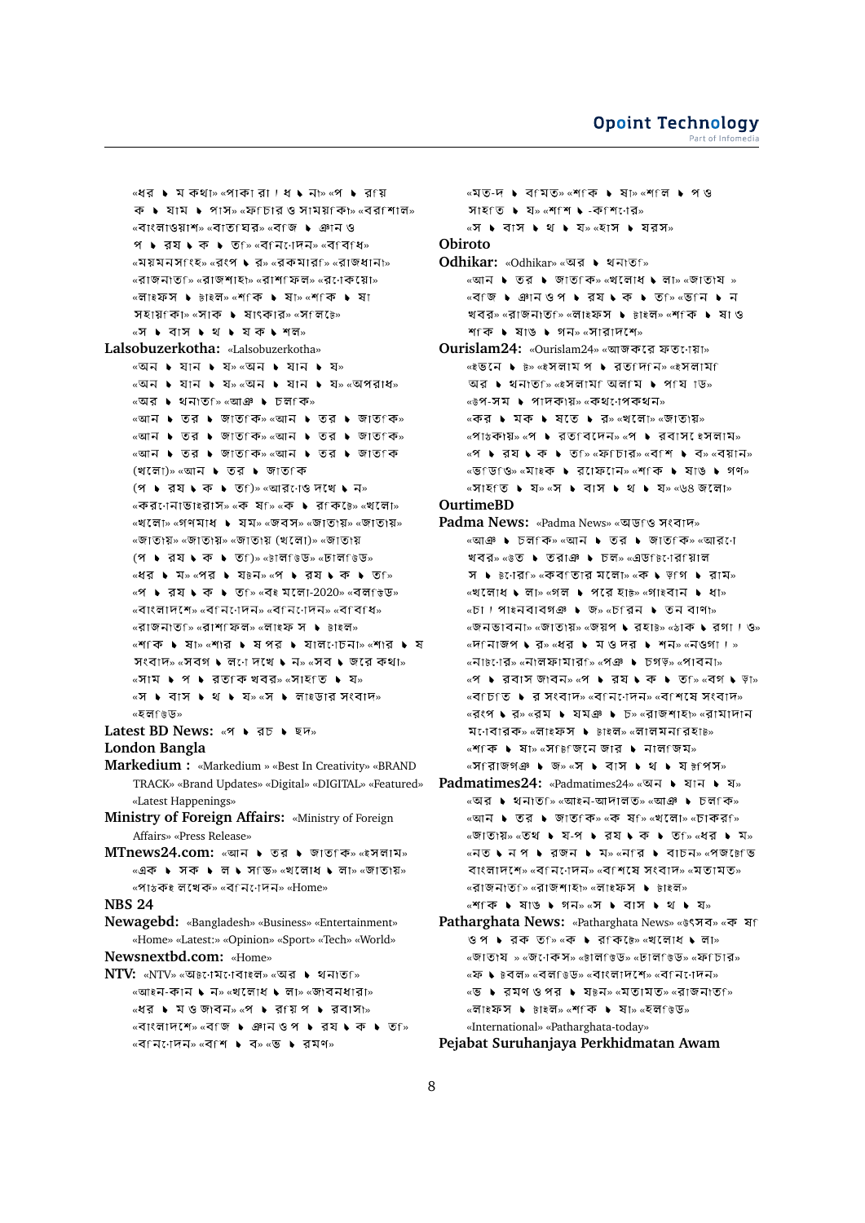```
«ধর ▶ ম কথা» «পাকা রা। ধ ▶ না» «প ▶ র য়
         ক \blacktriangleright যাম \blacktriangleright পাস» «ফfচার ও সাময়fক\triangleright «বরfশাল»
         «বাংলাওয়াশ» «বাত ঘর» «বাজ ▶ ঞান ও
         প • রয • ক • তf» «বfনাোদন» «বfবfধ»
         «ময়মনসাংহ» «রংপ ▶ র» «রকমার্চি «রাজধানা»
         «রাজনাত<sub>ি» «</sub>রাজশাহা<sub>» «</sub>রাশ ফল» «রণেকয়ো»
         «লাইফস ▶ টাইল» «শ∶ক ▶ ষা» «শ্কি ▶ ষা
         সহায়ৰিুা» «সাক ▶ ষাৎকার» «সলিটে»
         «স ▶ বাস ▶ থ ▶ যক ▶ শল»
Lalsobuzerkotha: «Lalsobuzerkotha»
         \alphaঅন \blacktriangleright যান \blacktriangleright য»\alphaঅন \blacktriangleright যান \blacktriangleright য»
         «অন ▶ যান ▶ য» «অন ▶ যান ▶ য» «অপরাধ»
         «অর ▶ থনাত ≫ি «আঞ ▶ চল কি»
         \overline{\phantom{a}} \overline{\phantom{a}} \overline{\phantom{a}} \overline{\phantom{a}} \overline{\phantom{a}} \overline{\phantom{a}} \overline{\phantom{a}} \overline{\phantom{a}} \overline{\phantom{a}} \overline{\phantom{a}} \overline{\phantom{a}} \overline{\phantom{a}} \overline{\phantom{a}} \overline{\phantom{a}} \overline{\phantom{a}} \overline{\phantom{a}} \overline{\phantom{a}} \overline{\phantom{a}} \over\overline{\text{w}}আন \overline{\text{b}} তর \overline{\text{b}} জাত কি»
         «আন ▶ তর ▶ জাত কি» «আন ▶ তর ▶ জাত কি
         (খলো)» «আন ▶ তর ▶ জাতfক
         (প \blacktriangleright রয \blacktriangleright ক \blacktriangleright ত \cap \triangleright «আর\cap ও দেখে \blacktriangleright ন\triangleright«কর•োনাভা৳রাস» «ক ষf» «ক ▶ রfকচে» «খলো»
         «খলো» «গণমাধ ▶ যম» «জবস» «জাতায়» «জাতায়»
         «জাতায়» «জাতায়» «জাতায় (খলো)» «জাতায়
         (প \blacktriangleright রয \blacktriangleright ক \blacktriangleright ত\cap)» «টালভিড» «ঢালভিড»
        «ধর • মে» «পর • যে৳ন» «প • রয • ক • ত »
        \mathscr{C} • বেষ ► ক ► তি ি \mathscr{C}বই মলো-2020» \mathscr{C}বল ভিডি»
         \mathcal{L}_{\mathcal{A}}বাদেশে» «বণন\mathcal{L}_{\mathcal{A}} , \mathcal{L}_{\mathcal{A}} , \mathcal{L}_{\mathcal{A}} , \mathcal{L}_{\mathcal{A}} , \mathcal{L}_{\mathcal{A}} , \mathcal{L}_{\mathcal{A}} , \mathcal{L}_{\mathcal{A}} , \mathcal{L}_{\mathcal{A}} , \mathcal{L}_{\mathcal{A}} , \mathcal{L}_{\mathcal{A}} , \mathcal{L}_{\mathcal{A}} , \mathcal{L}_{« » « » « »
         «শিকি ▶ ষা» «শার ▶ ষপর ▶ যাল োচনা» «শার ▶ ষ
         সংবাদ» «সবগ \bullet লনে দখে \bullet ন» «সব \bullet জরে কথা»
         \sqrt{a} \sqrt{a} \sqrt{b} \sqrt{a} \sqrt{a} \sqrt{a} \sqrt{a} \sqrt{a} \sqrt{a} \sqrt{a} \sqrt{a} \sqrt{a} \sqrt{a} \sqrt{a} \sqrt{a} \sqrt{a} \sqrt{a} \sqrt{a} \sqrt{a} \sqrt{a} \sqrt{a} \sqrt{a} \sqrt{a} \sqrt{a} \sqrt{a} \sqrt{a} \sqrt{a} \sqrt\sqrt{a} \bullet \sqrt{a} \bullet \sqrt{a} \bullet \sqrt{a} \sqrt{a} \bullet \sqrt{a} \sqrt{a} \sqrt{a} \sqrt{a} \sqrt{a} \sqrt{a} \sqrt{a} \sqrt{a} \sqrt{a} \sqrt{a} \sqrt{a} \sqrt{a} \sqrt{a} \sqrt{a} \sqrt{a} \sqrt{a} \sqrt{a} \sqrt{a} \sqrt{a} \sqrt{a} « »
Latest BD News: «প • রচ • ছদ»
London Bangla
Markedium : «Markedium » «Best In Creativity» «BRAND
         TRACK» «Brand Updates» «Digital» «DIGITAL» «Featured»
         «Latest Happenings»
Ministry of Foreign Affairs: «Ministry of Foreign
         Affairs» «Press Release»
MTnews24.com: «আন ▶ তর ▶ জাতfক» «ইসলাম»
         <sub>«এ</sub>ক ▶ সক ▶ ল ▶ স ভি» «খ লোধে ▶ লা» «জাতায»
         «পাঠকই লখেক» «বৰনোদন» «Home»
NBS 24
Newagebd: «Bangladesh» «Business» «Entertainment»
         «Home» «Latest:» «Opinion» «Sport» «Tech» «World»
Newsnextbd.com: «Home»
NTV: «NTV» «অচনেমনবাইল» «অর ▶ থনাতf»
         \overline{\mathcal{C}}আইন-কান ১ ন\overline{\mathcal{C}} , \overline{\mathcal{C}} নাধ\overline{\mathcal{C}} , লা\overline{\mathcal{C}} , জোবনধারা\overline{\mathcal{C}}\mathbb{R} \mathbb{R} \mathbb{R} \mathbb{R} \mathbb{R} \mathbb{R} \mathbb{R} \mathbb{R} \mathbb{R} \mathbb{R} \mathbb{R} \mathbb{R} \mathbb{R} \mathbb{R} \mathbb{R} \mathbb{R} \mathbb{R} \mathbb{R} \mathbb{R} \mathbb{R} \mathbb{R} \mathbb{R} \mathbb{R} \mathbb{R} \mathbb{
```
 $\overline{\mathcal{C}}$   $\overline{\mathcal{C}}$   $\overline{\mathcal{C}}$   $\overline{\mathcal{C}}$   $\overline{\mathcal{C}}$   $\overline{\mathcal{C}}$   $\overline{\mathcal{C}}$   $\overline{\mathcal{C}}$   $\overline{\mathcal{C}}$   $\overline{\mathcal{C}}$   $\overline{\mathcal{C}}$   $\overline{\mathcal{C}}$   $\overline{\mathcal{C}}$   $\overline{\mathcal{C}}$   $\overline{\mathcal{C}}$   $\overline{\mathcal{C}}$   $\overline{\mathcal{C}}$   $\overline{\mathcal{C}}$   $\overline{\$ 

 $\overline{\mathcal{C}}$ ৰ মিনোদন $\overline{\mathcal{C}}$  জনপ $\overline{\mathcal{C}}$   $\overline{\mathcal{C}}$   $\overline{\mathcal{C}}$   $\overline{\mathcal{C}}$   $\overline{\mathcal{C}}$   $\overline{\mathcal{C}}$   $\overline{\mathcal{C}}$   $\overline{\mathcal{C}}$   $\overline{\mathcal{C}}$   $\overline{\mathcal{C}}$   $\overline{\mathcal{C}}$   $\overline{\mathcal{C}}$   $\overline{\mathcal{C}}$   $\overline{\mathcal{C}}$   $\overline{\mathcal{C}}$   $\overline{\$ 

```
«মত-দ ▶ ব মত» «শ কি ▶ ষা» «শ ল ▶ প ও
         সাহত \bullet য» «শাশ \bullet -কাশনের»
        \alpha \mathbf{y} \mathbf{b} at \mathbf{y} \mathbf{v} at \mathbf{y} at \alpha at \mathbf{y} at \mathbf{y} at \mathbf{y} at \mathbf{y}Obiroto
```
- **Odhikar:** «Odhikar» «অর ▶ থনাত্তি  $\overline{\text{w}}$ আন  $\blacktriangleright$  তর  $\blacktriangleright$  জাত কি»  $\overline{\text{w}}$ লাধে  $\blacktriangleright$  লা»  $\overline{\text{w}}$ জাত বি » «বি'জি ▶ ঞানওপ ▶ র্য ▶ ক ▶ ত ি∞ «ভ নি ▶ ন খবর» «রাজনাত্রি «লাইফস ▶ টাইল» «শকি ▶ ষা ও শাকি । ষাঙ । গন» «সারাদশে»
- **Ourislam24: «Ourislam24» «আজকরে ফত**োয়া»  $\star$ ংভনে ▶  $\bar{b}$ »  $\star$ ইসলাম প ▶ রত দিনি»  $\star$ ইসলাম  $\overline{u}$ র  $\overline{v}$  থনাত ি «ইসলাম অল মি  $\overline{v}$  প শিয় াড «উপ-সম ▶ পাদকায়» «কথ োপকথন» «কর ▶ মক ▶ ষতে ▶ র» «খলো» «জাতায়»  $\mathbb{R}$   $\mathbb{R}$   $\mathbb{R}$   $\mathbb{R}$   $\mathbb{R}$   $\mathbb{R}$   $\mathbb{R}$   $\mathbb{R}$   $\mathbb{R}$   $\mathbb{R}$   $\mathbb{R}$   $\mathbb{R}$   $\mathbb{R}$   $\mathbb{R}$   $\mathbb{R}$   $\mathbb{R}$   $\mathbb{R}$   $\mathbb{R}$   $\mathbb{R}$   $\mathbb{R}$   $\mathbb{R}$   $\mathbb{R}$   $\mathbb{R}$   $\mathbb{R}$   $\math$  $\mathbb{R}$   $\mathbb{R}$  **\***  $\mathbb{R}$  **\***  $\mathbb{R}$  **\***  $\mathbb{R}$  **\***  $\mathbb{R}$  **\***  $\mathbb{R}$  **\***  $\mathbb{R}$  **\***  $\mathbb{R}$  **\***  $\mathbb{R}$  **\***  $\mathbb{R}$  **\***  $\mathbb{R}$  **\***  $\mathbb{R}$  **\***  $\mathbb{R}$  **\***  $\mathbb{R}$  **\***  $\mathbb{R}$  **\***  $\mathbb{R}$  **\***  $\mathbb$ «ভাডতি» «মাইক ▶ রােফােন» «শাকি ▶ ষাঙ ▶ গণ»  $\sqrt{a}$   $\sqrt{a}$   $\sqrt{b}$   $\sqrt{a}$   $\sqrt{b}$   $\sqrt{a}$   $\sqrt{b}$   $\sqrt{a}$   $\sqrt{b}$   $\sqrt{a}$   $\sqrt{b}$   $\sqrt{a}$   $\sqrt{b}$   $\sqrt{a}$   $\sqrt{b}$   $\sqrt{a}$   $\sqrt{b}$   $\sqrt{a}$   $\sqrt{b}$   $\sqrt{a}$   $\sqrt{b}$   $\sqrt{a}$   $\sqrt{a}$   $\sqrt{b}$   $\sqrt{a}$   $\sqrt{a}$   $\sqrt{b}$   $\sqrt{a$ **OurtimeBD**
- **Padma News: «Padma News» «অডfও সংবাদ»** «আঞ ▶ চলfক» «আন ▶ তর ▶ জাতfক» «আরণে খবর» « $\overline{\circ}$  • তরাঞ • চল» «এডf $\overline{\circ}$ োরfয়াল স  $\triangleright$   $\triangleright$   $\mathsf{R}$ :  $\mathsf{R}$   $\mathsf{R}$   $\mathsf{R}$   $\mathsf{R}$  at  $\mathsf{R}$   $\mathsf{R}$  at  $\mathsf{R}$   $\mathsf{R}$  at  $\mathsf{R}$   $\mathsf{R}$  at  $\mathsf{R}$   $\mathsf{R}$  at  $\mathsf{R}$   $\mathsf{R}$  at  $\mathsf{R}$   $\mathsf{R}$  at  $\mathsf{R}$   $\mathsf{R}$  at  $\mathsf{R}$  $\sim$ খলোধ ১ লা» «গল ১ পরে হা $\overline{b}$ » «গাইবান ১ ধা»  $\overline{\phantom{a}}$   $\overline{\phantom{a}}$   $\overline{\phantom{a}}$   $\overline{\phantom{a}}$   $\overline{\phantom{a}}$   $\overline{\phantom{a}}$   $\overline{\phantom{a}}$   $\overline{\phantom{a}}$   $\overline{\phantom{a}}$   $\overline{\phantom{a}}$   $\overline{\phantom{a}}$   $\overline{\phantom{a}}$   $\overline{\phantom{a}}$   $\overline{\phantom{a}}$   $\overline{\phantom{a}}$   $\overline{\phantom{a}}$   $\overline{\phantom{a}}$   $\overline{\phantom{a}}$   $\over$  $\overline{\mathcal{C}}$   $\overline{\mathcal{C}}$   $\overline{\mathcal{C}}$   $\overline{\mathcal{C}}$   $\overline{\mathcal{C}}$   $\overline{\mathcal{C}}$   $\overline{\mathcal{C}}$   $\overline{\mathcal{C}}$   $\overline{\mathcal{C}}$   $\overline{\mathcal{C}}$   $\overline{\mathcal{C}}$   $\overline{\mathcal{C}}$   $\overline{\mathcal{C}}$   $\overline{\mathcal{C}}$   $\overline{\mathcal{C}}$   $\overline{\mathcal{C}}$   $\overline{\mathcal{C}}$   $\overline{\mathcal{C}}$   $\over$  $\overline{\mathcal{C}}$   $\overline{\mathcal{C}}$   $\overline{\mathcal{C}}$   $\overline{\mathcal{C}}$   $\overline{\mathcal{C}}$   $\overline{\mathcal{C}}$   $\overline{\mathcal{C}}$   $\overline{\mathcal{C}}$   $\overline{\mathcal{C}}$   $\overline{\mathcal{C}}$   $\overline{\mathcal{C}}$   $\overline{\mathcal{C}}$   $\overline{\mathcal{C}}$   $\overline{\mathcal{C}}$   $\overline{\mathcal{C}}$   $\overline{\mathcal{C}}$   $\overline{\mathcal{C}}$   $\overline{\mathcal{C}}$   $\over$  $\overline{\mathbf{w}}$   $\overline{\mathbf{w}}$   $\overline{\mathbf{w}}$   $\overline{\mathbf{w}}$   $\overline{\mathbf{w}}$   $\overline{\mathbf{w}}$   $\overline{\mathbf{w}}$   $\overline{\mathbf{w}}$   $\overline{\mathbf{w}}$   $\overline{\mathbf{w}}$   $\overline{\mathbf{w}}$   $\overline{\mathbf{w}}$   $\overline{\mathbf{w}}$   $\overline{\mathbf{w}}$   $\overline{\mathbf{w}}$   $\overline{\mathbf{w}}$   $\overline{\mathbf{w}}$   $\overline{\mathbf{w}}$   $\over$  $\mathbb{R}$  • রবাস জাবন»  $\mathbb{R}$  • রয়  $\blacklozenge$  ক  $\blacktriangleright$  ত ি  $\mathbb{R}$   $\mathbb{R}$   $\blacktriangleright$  ড়া»  $\overline{\mathcal{C}}$   $\overline{\mathcal{C}}$   $\overline{\mathcal{C}}$   $\overline{\mathcal{C}}$   $\overline{\mathcal{C}}$   $\overline{\mathcal{C}}$   $\overline{\mathcal{C}}$   $\overline{\mathcal{C}}$   $\overline{\mathcal{C}}$   $\overline{\mathcal{C}}$   $\overline{\mathcal{C}}$   $\overline{\mathcal{C}}$   $\overline{\mathcal{C}}$   $\overline{\mathcal{C}}$   $\overline{\mathcal{C}}$   $\overline{\mathcal{C}}$   $\overline{\mathcal{C}}$   $\overline{\mathcal{C}}$   $\over$  $\overline{\mathcal{A}}$ রংপ ১ র» «রম ১ যমঞ ১ চ» «রাজশাহা» «রামাদান মণেবারক» «লাইফস ▶ টাইল» «লালমন বিহাট» «শিকি ▶ ষা» «স িটজিনে জার ▶ নাল জিম» «সি রাজগঞ ▶ জ» «স ▶ বাস ▶ থ ▶ য ৳পস»
- **Padmatimes24:** «Padmatimes24» «অন ▶ যান ▶ য» «অর ▶ থনাত ি» «আইন-আদালত» «আঞা ▶ চল কি» «আন ▶ তর ▶ জাত কি» «ক ষ ি» «খলো» «চাকর ি  $\overline{\text{w}}$ জাতায়» «তথ ▶ য-প ▶ রয ▶ ক ▶ ত ি «ধর ▶ ম» «নত • নেপ • রজন • মে» «নfর • বাচন» «পজ চেভে বাংলাদেশে» «ব $f$ ন $i$ াদন» «ব $f$ শয়ে সংবাদ» «মৃতামৃত» «রাজনাত<sub>ি»</sub> «রাজশাহা» «লাইফস ▶ টাইল» «শিকি ▶ ষাঙ ▶ গন» «স ▶ বাস ▶ থ ▶ য»
- **Patharghata News: «Patharghata News» «উৎসব» «ক ষা** ওপ ▶ রক ত ি «ক ▶ র কি  $\overline{b}$ » «খলোধ ▶ লা» «জাতায » «জনেকস» «চালভিড» «ঢালভিড» «ফeচার» «ফ ♦ ৳বল» «বলf৳ড» «বাংলাদশে» «বfন্দেন»  $\overline{\mathcal{C}}$  •  $\overline{\mathcal{A}}$  and  $\overline{\mathcal{B}}$  and  $\overline{\mathcal{B}}$  is  $\overline{\mathcal{A}}$  in  $\overline{\mathcal{B}}$  in  $\overline{\mathcal{B}}$  and  $\overline{\mathcal{B}}$  and  $\overline{\mathcal{B}}$  and  $\overline{\mathcal{B}}$  and  $\overline{\mathcal{B}}$  and  $\overline{\mathcal{B}}$  and  $\overline{\mathcal{B}}$  and  $\overline{\mathcal{B}}$  and  $\$ «লাইফস ▶ টাইল» «শতিক ▶ ষা» «হলতিড» «International» «Patharghata-today»

**Pejabat Suruhanjaya Perkhidmatan Awam**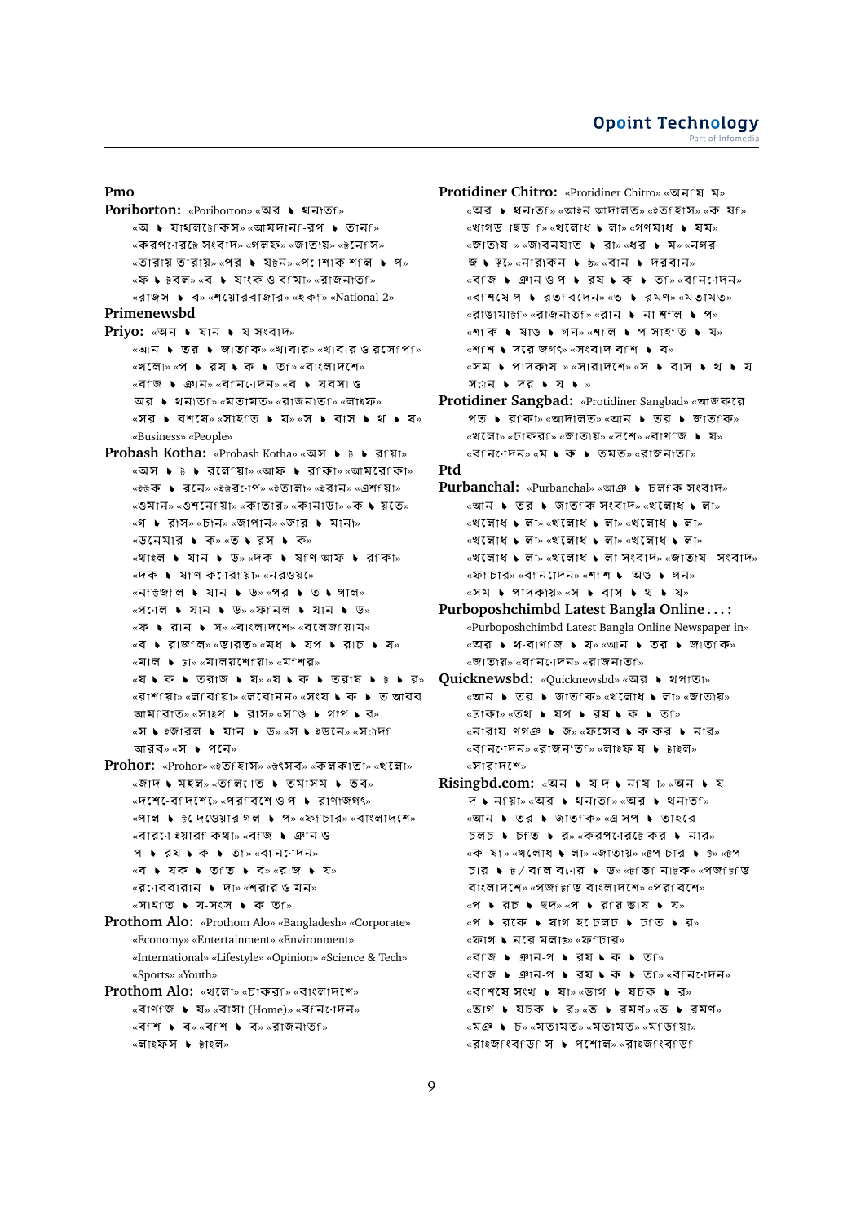**Pmo**

**Poriborton:** «Poriborton» «অর ▶ থনাতf»  $\overline{\mathcal{C}}$  • যাথলটেকিস»  $\overline{\mathcal{C}}$  অমি $\overline{\mathcal{C}}$  • তান ি «করপনের্<sub>টে</sub> সংবাদ» «গলফ» «জাতায়» «৳নেপে» «তারায় তারায়» «পর ▶ য৳ন» «পণেশাক শ°ল ▶ প» «ফ ♦ ৳বল» «ব • যাংক ও বামা» «রাজনাতা» «রাজস ► ব» «শয়োরবাজার» «হক ি» «National-2» **Primenewsbd Priyo: «অন ▶ যান ▶ য সংবাদ»**  $\overline{\phantom{a}}$   $\overline{\phantom{a}}$   $\overline{\phantom{a}}$   $\overline{\phantom{a}}$   $\overline{\phantom{a}}$   $\overline{\phantom{a}}$   $\overline{\phantom{a}}$   $\overline{\phantom{a}}$   $\overline{\phantom{a}}$   $\overline{\phantom{a}}$   $\overline{\phantom{a}}$   $\overline{\phantom{a}}$   $\overline{\phantom{a}}$   $\overline{\phantom{a}}$   $\overline{\phantom{a}}$   $\overline{\phantom{a}}$   $\overline{\phantom{a}}$   $\overline{\phantom{a}}$   $\over$ «খলো» «প ▶ রয ▶ ক ▶ ত ি «বাংলাদশে» «বাজ ▶ ঞান» «বানিোদন» «ব ▶ যবসা ও অর ▶ থনাতf» «মতামত» «রাজনাতf» «লাইফ» «সর • বশষে» «সাহত • য» «স • বাস • থ • য» «Business» «People» **Probash Kotha:** «Probash Kotha» «অস ▶ ৳ ▶ রায়া» «অস ▶ ৳ ▶ রলেগ্য়ো» «আফ ▶ রণকা» «আমরেণকা» «ইউক ▶ রনে» «ইউর•োপ» «ইতালা» «ইরান» «এশ য়িা» «ওমান» «ওশনেরিা» «কাতার» «কানাডা» «ক ♦ য়তে» «গ ▶ রাস» «চান» «জাপান» «জার ▶ মানা»  $\sqrt{w}$ নেমার ▶ ক» «ত ▶ রস ▶ ক» «থাইল ▶ যান ▶ ড» «দক ▶ ষণ আফ ▶ র কা»  $\overline{\mathcal{C}}$   $\overline{\mathcal{C}}$   $\overline{\mathcal{C}}$   $\overline{\mathcal{C}}$   $\overline{\mathcal{C}}$   $\overline{\mathcal{C}}$   $\overline{\mathcal{C}}$   $\overline{\mathcal{C}}$   $\overline{\mathcal{C}}$   $\overline{\mathcal{C}}$   $\overline{\mathcal{C}}$   $\overline{\mathcal{C}}$   $\overline{\mathcal{C}}$   $\overline{\mathcal{C}}$   $\overline{\mathcal{C}}$   $\overline{\mathcal{C}}$   $\overline{\mathcal{C}}$   $\overline{\mathcal{C}}$   $\over$ «ন িজি ়িলি ▶ যান ▶ ড» «পর ▶ ত ▶ গাল»  $\mathbb{R}$ প $\mathbb{R}$ াল ▶ যান ▶ ড»  $\mathbb{R}$ ফি নিল ▶ যান ▶ ড» «ফ ▶ রান ▶ স» «বাংলাদশে» «বলেজ য়াম» «ব ▶ রাজ লি» «ভারত» «মধ ▶ যপ ▶ রাচ ▶ য»  $\overline{\mathbf{w}}$ মাল ▶  $\overline{\mathbf{w}}$ ালয় শোরে  $\overline{\mathbf{w}}$   $\overline{\mathbf{w}}$ « » « »  $\overline{\mathcal{C}}$ রাশ য়িাি $\overline{\mathcal{C}}$  জাবি যিাি  $\overline{\mathcal{C}}$  জাবে বি মিঃ  $\overline{\mathcal{C}}$  জাবে বি মিঃ  $\overline{\mathcal{C}}$  জাবে বি মিঃ  $\overline{\mathcal{C}}$  জাবে বি মিঃ  $\overline{\mathcal{C}}$  $\pi$  and  $\pi$  is a mean  $\ast$  and  $\ast$  and  $\ast$  and  $\ast$  and  $\ast$  and  $\ast$  and  $\ast$ «স ১ ইজারল ১ যান ১ ড» «স ১ ইডনে» «সকৌদ আরব» «স ▶ পনে» **Prohor:** «Prohor» «ইত হাস<sub>»</sub> «উৎসব» «কলকাতা» «খলো»  $\overline{\mathcal{C}}$ জাদ ► মহল» «ত লি োত ► তমাসম ► ভব»  $\overline{\mathcal{C}}$   $\overline{\mathcal{C}}$   $\overline{\mathcal{C}}$   $\overline{\mathcal{C}}$   $\overline{\mathcal{C}}$   $\overline{\mathcal{C}}$   $\overline{\mathcal{C}}$   $\overline{\mathcal{C}}$   $\overline{\mathcal{C}}$   $\overline{\mathcal{C}}$   $\overline{\mathcal{C}}$   $\overline{\mathcal{C}}$   $\overline{\mathcal{C}}$   $\overline{\mathcal{C}}$   $\overline{\mathcal{C}}$   $\overline{\mathcal{C}}$   $\overline{\mathcal{C}}$   $\overline{\mathcal{C}}$   $\overline$  $\mathbb{R}$   $\mathbb{R}$   $\mathbb{R}$   $\mathbb{R}$   $\mathbb{R}$   $\mathbb{R}$   $\mathbb{R}$   $\mathbb{R}$   $\mathbb{R}$   $\mathbb{R}$   $\mathbb{R}$   $\mathbb{R}$   $\mathbb{R}$   $\mathbb{R}$   $\mathbb{R}$   $\mathbb{R}$   $\mathbb{R}$   $\mathbb{R}$   $\mathbb{R}$   $\mathbb{R}$   $\mathbb{R}$   $\mathbb{R}$   $\mathbb{R}$   $\mathbb{R}$   $\math$  $\overline{\text{w}}$ বারনে-ইয়ারা কথা»  $\overline{\text{w}}$ বাজ ▶ ঞান ও  $9 \rightarrow 37 \rightarrow 9$   $\rightarrow 9$   $\rightarrow 9$   $\rightarrow 9$ <sup>«বে</sup> ▶ যক ▶ ত ত ▶ ব» «রাজ ▶ য»  $\overline{\mathcal{C}}$ র  $\overline{\mathcal{C}}$ াব বারান ▶ দা» «শরার ও মন»  $\mathsf{R} \times \mathsf{R}$ াহিং ডি ১ য-সংস ১ কে তা ≫ **Prothom Alo:** «Prothom Alo» «Bangladesh» «Corporate» «Economy» «Entertainment» «Environment» «International» «Lifestyle» «Opinion» «Science & Tech» «Sports» «Youth»

```
Prothom Alo: «খলো» «চাকর<sub>ি</sub> «বাংলাদশে»
      \overline{\mathcal{C}} «বাসা (Home)» «ব\overline{\mathcal{C}}ন\overline{\mathcal{C}} ।
      «বাশ ▶ ব» «বাশ ▶ ব» «রাজনাতা»
      «লাইফস ▶ টাইল»
```
**Protidiner Chitro:** «Protidiner Chitro» «অন্য ম» «অর ▶ থনাত<sub>ি</sub> «আইন আদালত» «ইতাহাস» «ক ষা»  $\sim$ খাগড াছড f» «খলোধ  $\bullet$  লা» «গণমাধ  $\bullet$  যম» «জাতায » «জাবনযাত ▶ রা» «ধর ▶ ম» «নগর জ ১ ড় $\sim$  «নারাকন ১  $\sim$  «বান ১ দরবান»  $\overline{\mathcal{C}}$   $\overline{\mathcal{C}}$   $\overline{\mathcal{C}}$   $\overline{\mathcal{C}}$   $\overline{\mathcal{C}}$   $\overline{\mathcal{C}}$   $\overline{\mathcal{C}}$   $\overline{\mathcal{C}}$   $\overline{\mathcal{C}}$   $\overline{\mathcal{C}}$   $\overline{\mathcal{C}}$   $\overline{\mathcal{C}}$   $\overline{\mathcal{C}}$   $\overline{\mathcal{C}}$   $\overline{\mathcal{C}}$   $\overline{\mathcal{C}}$   $\overline{\mathcal{C}}$   $\overline{\mathcal{C}}$   $\over$  $\mathbb{R}$   $\mathbb{R}$   $\mathbb{R}$   $\mathbb{R}$   $\mathbb{R}$   $\mathbb{R}$   $\mathbb{R}$   $\mathbb{R}$   $\mathbb{R}$   $\mathbb{R}$   $\mathbb{R}$   $\mathbb{R}$   $\mathbb{R}$   $\mathbb{R}$   $\mathbb{R}$   $\mathbb{R}$   $\mathbb{R}$   $\mathbb{R}$   $\mathbb{R}$   $\mathbb{R}$   $\mathbb{R}$   $\mathbb{R}$   $\mathbb{R}$   $\mathbb{R}$   $\mathbb{$  $\sim$ রাঙামা $\overline{b}$ ি «রাজনাত $\sim$  «রান  $\blacktriangleright$  না শ $\cap$   $\blacktriangleright$  প $\gg$ «শিংকি ▶ ষাঙ ▶ গন» «শ°লি ▶ প-সাহণত ▶ য»  $\mathbb{R}$  শাশ ১ দরে জগৎ $\mathbb{R}$   $\mathbb{R}$  সংবাদ বাশ ১ ব $\mathbb{R}$ «সম ▶ পাদকায » «সারাদশে» «স ▶ বাস ▶ থ ▶ য স<sub>ৌ</sub>ন  $\triangleright$  দর  $\triangleright$  য  $\triangleright$  » **Protidiner Sangbad:** «Protidiner Sangbad» « পত ▶ রাকা» «আদালত» «আন ▶ তর ▶ জাতাকি»  $\mathbb{R}$ খলো» «চাকরা» «জাতায়» «দশে» «বাণাজ ▶ য»  $\mathbb{R}$  < বিনিদেনি  $\mathbb{R}$  ∿  $\mathbb{R}$  → তমত»  $\mathbb{R}$ রাজনাত $\mathbb{R}$ **Ptd Purbanchal:** «Purbanchal» «আঞ ▶ চলাক সংবাদ»  $\overline{\phantom{a}}$ আন ▶ তার ▶ জাত কি সংবাদ» «খলোধে ▶ লা»  $\sim$ খলোধ ১ লা $\sim$  «খলোধ ১ লা $\sim$  ২খলোধ ১ লা $\sim$  $\mathbb{R}$ খলোধ ১ লা» «খলোধ ১ লা» «খলোধ ১ লা»  $\mathbb{R}$ খলোধ  $\blacklozenge$  লা $\mathbb{R}$  সংবাদ $\mathbb{R}$  »  $\mathbb{R}$  জাতায সংবাদ»  $\overline{\text{w}}$ ফ ডিার»  $\overline{\text{w}}$ বিনেদেন»  $\overline{\text{w}}$ শ । অঙ । গন»  $\sim$   $\sqrt{ }$   $\bullet$   $\sim$   $\sqrt{ }$   $\sqrt{ }$   $\sim$   $\sqrt{ }$   $\sim$   $\sqrt{ }$   $\sim$   $\sqrt{ }$   $\sim$   $\sqrt{ }$   $\sim$   $\sqrt{ }$   $\sim$   $\sqrt{ }$   $\sim$   $\sqrt{ }$   $\sim$   $\sqrt{ }$   $\sim$   $\sqrt{ }$   $\sim$   $\sqrt{ }$   $\sim$   $\sqrt{ }$   $\sim$   $\sqrt{ }$   $\sim$   $\sqrt{ }$   $\sim$   $\sqrt{ }$   $\sim$   $\sqrt{ }$   $\sim$  **Purboposhchimbd Latest Bangla Online . . . :** «Purboposhchimbd Latest Bangla Online Newspaper in» «অর ▶ থ-বাণাজ ▶ য» «আন ▶ তর ▶ জাতাকি» «জাতায়» «ব<sub>ি</sub>ননোদন» «রাজনাত<sub>ি</sub> **Quicknewsbd: «Quicknewsbd» «অর ▶ থপাতা»**  $\overline{\mathcal{C}}$   $\overline{\mathcal{C}}$   $\overline{\mathcal{C}}$   $\overline{\mathcal{C}}$   $\overline{\mathcal{C}}$   $\overline{\mathcal{C}}$   $\overline{\mathcal{C}}$   $\overline{\mathcal{C}}$   $\overline{\mathcal{C}}$   $\overline{\mathcal{C}}$   $\overline{\mathcal{C}}$   $\overline{\mathcal{C}}$   $\overline{\mathcal{C}}$   $\overline{\mathcal{C}}$   $\overline{\mathcal{C}}$   $\overline{\mathcal{C}}$   $\overline{\mathcal{C}}$   $\overline{\mathcal{C}}$   $\over$  $\overline{\text{w}}$ ঢাকা»  $\overline{\text{w}}$ তথ ▶ যপ ▶ রয ▶ ক ▶ ত $\overline{\text{w}}$ «নারায ণগঞ ▶ জ» «ফেসেবে ▶ ক কর ▶ নার» «বানিশেদন» «রাজনাতা» «লাইফ ষ ▶ টাইল» «সারাদশে» **Risingbd.com: «অন ▶ যদ ▶ নfয া» «অন ▶ য**  $\Pi$  • নিয়া» «অর • থনাত ি» «অর • থনাত ি» «আন ▶ তর ▶ জাত কি» «এসপ ▶ তাহরে চলচ ▶ চাত ▶ র» «করপণের ে কের ▶ নার» «ক ষ ি «খলাধে ১ লা» «জাতায়» «টপ চার ১ ট» «টপ চাব ▶ ৯ / ব লে বে াবে ▶ ডঌ «ঈ ভি নি াইকি» «পিজ লি ভি বাংলাদশে» «পজ $f$ চভি বাংলাদশে» «প্রবেশে» «প ▶ রচ ▶ ছদ» «প ▶ রায় ভাষ ▶ য»  $\mathbb{R}$  • রকে  $\blacktriangleright$  ষাগ হঢ়েলচ  $\blacktriangleright$  চ $\mathbb{C}$   $\blacktriangleright$  র $\mathbb{R}$  $\sqrt{p}$   $\sim$   $\sqrt{q}$  নৱে মলা $\sqrt{p}$   $\sim$  ফ $\sqrt{p}$  চার $\sim$  $\alpha$ বি ় ১ ঞান-প ১ রেষ ১ ক ১ ত ি»  $\mathbb{R}$   $\mathbb{R}$   $\mathbb{R}$   $\mathbb{R}$   $\mathbb{R}$   $\mathbb{R}$   $\mathbb{R}$   $\mathbb{R}$   $\mathbb{R}$   $\mathbb{R}$   $\mathbb{R}$   $\mathbb{R}$   $\mathbb{R}$   $\mathbb{R}$   $\mathbb{R}$   $\mathbb{R}$   $\mathbb{R}$   $\mathbb{R}$   $\mathbb{R}$   $\mathbb{R}$   $\mathbb{R}$   $\mathbb{R}$   $\mathbb{R}$   $\mathbb{R}$   $\math$  $\overline{\text{w}}$ ব শিষে সংখ ► যা»  $\overline{\text{w}}$ তাগ ► যচক ► র»  $\overline{\mathcal{C}}$   $\overline{\mathcal{C}}$  **\***  $\overline{\mathcal{C}}$  **\***  $\overline{\mathcal{C}}$  **\***  $\overline{\mathcal{C}}$  **\***  $\overline{\mathcal{C}}$  **\***  $\overline{\mathcal{C}}$  **\***  $\overline{\mathcal{C}}$  **\***  $\overline{\mathcal{C}}$  **\***  $\overline{\mathcal{C}}$  **\***  $\overline{\mathcal{C}}$  **\***  $\overline{\mathcal{C}}$  **\***  $\overline{\mathcal{C}}$  **\***  $\overline{\mathcal{C}}$  **\*** « » « » « » « » «রাইজাংবাড়া স ▶ পশোল» «রাইজাংবাড়া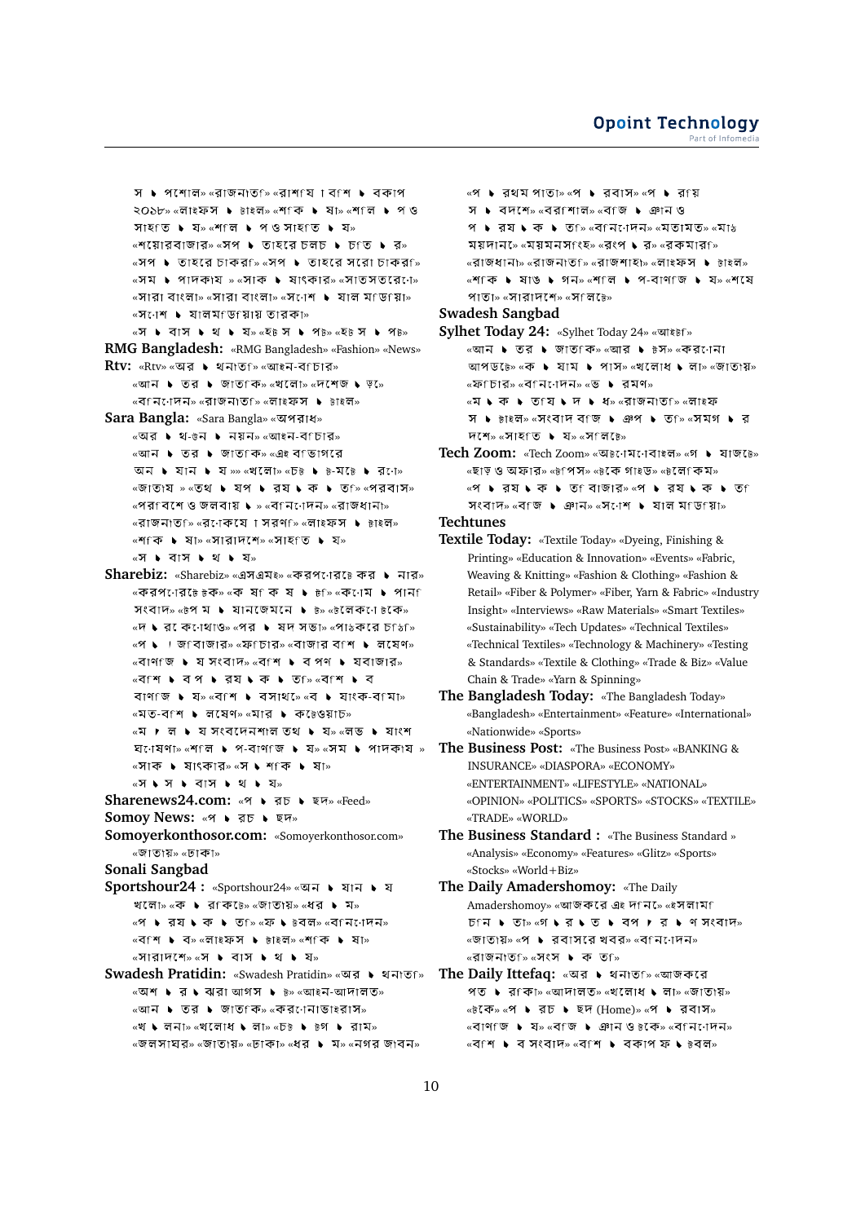```
স \blacktriangleright পশোল» «রাজনাতু ি «রাশ যে া ব শি \blacktriangleright বকাপ
        ২০১৮» «লাইফস ▶ টাইল» «শকি ▶ ষা» «শলি ▶ প ও
        \pi \mathbb{R} \mathbb{R} \mathbb{R} \mathbb{R} \mathbb{R} \mathbb{R} \mathbb{R} \mathbb{R} \mathbb{R} \mathbb{R} \mathbb{R} \mathbb{R} \mathbb{R} \mathbb{R} \mathbb{R} \mathbb{R} \mathbb{R} \mathbb{R} \mathbb{R} \mathbb{R} \mathbb{R} \mathbb{R} \mathbb{R} \mathbb{R} 
        \overline{\mathcal{C}} \overline{\mathcal{C}} \overline{\mathcal{C}} \overline{\mathcal{C}} \overline{\mathcal{C}} \overline{\mathcal{C}} \overline{\mathcal{C}} \overline{\mathcal{C}} \overline{\mathcal{C}} \overline{\mathcal{C}} \overline{\mathcal{C}} \overline{\mathcal{C}} \overline{\mathcal{C}} \overline{\mathcal{C}} \overline{\mathcal{C}} \overline{\mathcal{C}} \overline{\mathcal{C}} \overline{\mathcal{C}} \over«সপ ▶ তাহরে চাকর্জি «সপ ▶ তাহরে সরো চাকর্জি
        «সম ▶ পাদকায » «সাক ▶ ষাংকার» «সাতসতরেনে»
        «সারা বাংলা» «সারা বাংলা» «সণেশ ▶ যাল মণ্ডিগো»
        «সনেশ ▶ যালমাডায়ায় তারকা»
        «স ▶ বাস ▶ থ ▶ য» «হ৳ স ▶ প৳» «হ৳ স ▶ প৳»
RMG Bangladesh: «RMG Bangladesh» «Fashion» «News»
Rtv: «Rtv» «অর ▶ থনাতf» «আইন-বf চার»
        «আন ▶ তর ▶ জাত কি» «খলো» «দশেজ ▶ ড়»
        «বানাদেন» «রাজনাতাজি «লাইফস ▶ ৳াইল»
Sara Bangla: «Sara Bangla» « »
        \alphaঅর \blacktriangleright থ-ঙন \blacktriangleright নয়ন»\alphaআইন-বিচার»
        «আন ▶ তর ▶ জাতfক» «এই বfভাগরে
        আন ▶ যান ▶ য»» «খলো» «চ\overline{b} ▶ \overline{b}-মটে ▶ র:া»
        « » « » « »
        «পর্বেশে ও জলবায় ♦ » «ব্নিোদন» «রাজধানা»
        «রাজনাতৃ ি» «র্ােকয়ে । সর্ণ ি» «লাইফস ▶ টাইল»
        «শাক ▶ ষা» «সারাদশে» «সাহাত ▶ য»
        «স ▶ বাস ▶ থ ▶ য»
Sharebiz: «Sharebiz» «এসএম<sub>ই»</sub> «করপণের৳ কর ▶ নার»
        «করপণের েটেউক» «ক ষ িক ষ ▶ ৳ ি» «কণেম ▶ পান 
        সংবাদ» «\overline{B}প ম ▶ যানজেমনে ▶ \overline{B}» «\overline{B}লেকে: া\overline{B}কে»
        «দ ► র কেণেথাও» «পর ► ষদ সভা» «পাঠকরে চাঠি»
        «প • । জাবাজার» «ফাচার» «বাজার বাশ • লযেণ»
        \overline{a} \overline{a} \overline{b} \overline{a} \overline{b} \overline{c} \overline{c} \overline{c} \overline{c} \overline{c} \overline{c} \overline{c} \overline{c} \overline{c} \overline{c} \overline{c} \overline{c} \overline{c} \overline{c} \overline{c} \overline{c} \overline{c} \overline{c} \overline{c} \overline{«বিশি • বেপ • রেষ • কে • তি ≫ি «ব শি • বে
        \pi \rightarrow \pi» « \pi • \rightarrow \pi \rightarrow \pi \rightarrow \pi \rightarrow \pi \rightarrow \pi\sqrt{2} \sqrt{2} \sqrt{2} \sqrt{2} \sqrt{2} \sqrt{2} \sqrt{2} \sqrt{2} \sqrt{2} \sqrt{2} \sqrt{2} \sqrt{2} \sqrt{2} \sqrt{2} \sqrt{2} \sqrt{2} \sqrt{2} \sqrt{2} \sqrt{2} \sqrt{2} \sqrt{2} \sqrt{2} \sqrt{2} \sqrt{2} \sqrt{2} \sqrt{2} \sqrt{2} \sqrt{«ম ▶ ল ▶ য সংবদেনেশাল তথ ▶ য» «লভ ▶ যাংশ
        \Sigmaোষণা» «শালি ▶ প-বাণাজি ▶ য» «সম ▶ পাদকায »
        «সাক ▶ ষাৎকার» «স ▶ শাক ▶ ষা»
        «স • স • বাস • থ • য»
Sharenews24.com: «প ▶ রচ ▶ ছদ» «Feed»
Somoy News: « > तচ ▶ ছদ»
Somoyerkonthosor.com: «Somoyerkonthosor.com»
        «জাতায়» «ঢাকা»
Sonali Sangbad
Sportshour24 : «Sportshour24» «অন ▶ যান ▶ য
        খলো» «ক ▶ রাকি \overline{b}» «জাতায়» «ধর ▶ ম»
        «প ▶ র্য ▶ ক ▶ ত ি» «ফ ▶ ৳বল» «ব নি োদন»
        «বাশ ▶ ব» «লাইফস ▶ টাইল» «শাক ▶ ষা»
        \alpha \mathbb{R} \mathbb{R} \mathbb{R} \mathbb{R} \mathbb{R} \mathbb{R} \mathbb{R} \mathbb{R} \mathbb{R} \mathbb{R} \mathbb{R} \mathbb{R} \mathbb{R} \mathbb{R} \mathbb{R} \mathbb{R} \mathbb{R} \mathbb{R} \mathbb{R} \mathbb{R} \mathbb{R} \mathbb{R} \mathbb{R} \mathbb{R} 
Swadesh Pratidin: «Swadesh Pratidin» «অর ▶ থনাতf»
        \overline{\mathcal{C}}অশ ► র ► ঝরা আগস ► \overline{\mathcal{C}}» \overline{\mathcal{C}} \overline{\mathcal{C}} \overline{\mathcal{C}}«আন ▶ তর ▶ জাত কি» «করণেনাভাইরাস»
        «খ ► লনা» «খলোধ ► লা» «চ৳ ► ৳গ ► রাম»
```
«জলসাঘর» «জাতায়» «ঢাকা» «ধর ▶ ম» «নগর জাবন»

```
\mathbb{R} • রথম পাতা» \mathbb{R} • রবাস» \mathbb{R} • র\mathbb{R}য়
        স \blacktriangleright বদশে» «বরfশাল» «বfজ \blacktriangleright ঞান ও
        9 \rightarrow 37 \rightarrow 9 \rightarrow 9 \rightarrow 9 \rightarrow 9 \rightarrow 9 \rightarrow 9 \rightarrow 9 \rightarrow 9 \rightarrow 9 \rightarrow 9 \rightarrow 9 \rightarrow 9 \rightarrow 9ময়দান» «ময়মনসাংহ» «রংপ \bullet র» «রকমার\circ»
        « » « » « » « »
        \kappaশ কি \blacktriangleright ষাঙ \blacktriangleright গন\scriptstyle\ast \kappaশ লি \blacktriangleright প-বাণ জি \blacktriangleright য\scriptstyle\ast \kappaশ যে
        পাতা» «সারাদশে» «সালচে»
Swadesh Sangbad
Sylhet Today 24: «Sylhet Today 24» «আইটনি»
        «আন ▶ তর ▶ জাত কি» «আর ▶ ৳স» «কর োনাে
```
 $\overline{u}$  আপডটে» «  $\overline{v}$   $\bullet$   $\overline{v}$   $\overline{v}$   $\overline{v}$   $\overline{v}$   $\overline{v}$   $\overline{v}$   $\overline{v}$   $\overline{v}$   $\overline{v}$   $\overline{v}$   $\overline{v}$   $\overline{v}$   $\overline{v}$   $\overline{v}$   $\overline{v}$   $\overline{v}$   $\overline{v}$   $\overline{v}$   $\overline{v}$   $\overline{v}$   $\overline{v}$   $\overline{\mathbf{w}}$ ফ চার» «ব $\overline{\mathbf{w}}$ ন $\overline{\mathbf{w}}$   $\overline{\mathbf{w}}$   $\overline{\mathbf{w}}$   $\overline{\mathbf{w}}$   $\overline{\mathbf{w}}$   $\overline{\mathbf{w}}$ «ম • ক • তfয • দ • ধ» «রাজনাতf» «লাইফ স • টাইল» «সংবাদ বাজ • ঞপ • ত ি «সমগ • র  $\overline{V}$ শি» «সাহতি ▶ য» «সালিটে»

- **Tech Zoom:** «Tech Zoom» «অচনেমনেবাইল» «গ ▶ যাজ৳ে» «ছাড় ও অফার» «৳পিস» «৳কে গাইড» «৳লেপিন» «প • রেয • ক • ত বিাজার» «প • রেয • ক • ত সংবাদ» «বাজ ▶ ঞান» «সণেশ ▶ যাল মাডায়া»
- **Techtunes**
- **Textile Today:** «Textile Today» «Dyeing, Finishing & Printing» «Education & Innovation» «Events» «Fabric, Weaving & Knitting» «Fashion & Clothing» «Fashion & Retail» «Fiber & Polymer» «Fiber, Yarn & Fabric» «Industry Insight» «Interviews» «Raw Materials» «Smart Textiles» «Sustainability» «Tech Updates» «Technical Textiles» «Technical Textiles» «Technology & Machinery» «Testing & Standards» «Textile & Clothing» «Trade & Biz» «Value Chain & Trade» «Yarn & Spinning»
- **The Bangladesh Today:** «The Bangladesh Today» «Bangladesh» «Entertainment» «Feature» «International» «Nationwide» «Sports»
- **The Business Post:** «The Business Post» «BANKING & INSURANCE» «DIASPORA» «ECONOMY» «ENTERTAINMENT» «LIFESTYLE» «NATIONAL» «OPINION» «POLITICS» «SPORTS» «STOCKS» «TEXTILE» «TRADE» «WORLD»
- **The Business Standard :** «The Business Standard » «Analysis» «Economy» «Features» «Glitz» «Sports» «Stocks» «World+Biz»
- **The Daily Amadershomoy:** «The Daily Amadershomoy» «আজকরে এই দানি»ে «ইসলামা  $D \cap \mathcal{A}$  by  $D$  is  $\mathcal{A}$  by  $\mathcal{A}$  by  $D$  by  $\mathcal{A}$  by  $\mathcal{A}$  and  $\mathcal{A}$  is  $D$ «জাতায়» «প ▶ রবাসরে খবর» «বানাাদন» «রাজনাত<sub>ি</sub> «সংস ▶ ক ত<sub>ি</sub>»
- **The Daily Ittefaq: «অর ▶ থনাতf» «আজকরে** পত ▶ র $f$ কা» «আদালত» «খলোধ ▶ লা» «জাতায়»  $\frac{1}{2}$   $\frac{1}{2}$   $\frac{1}{2}$   $\frac{1}{2}$   $\frac{1}{2}$   $\frac{1}{2}$   $\frac{1}{2}$   $\frac{1}{2}$   $\frac{1}{2}$   $\frac{1}{2}$   $\frac{1}{2}$   $\frac{1}{2}$   $\frac{1}{2}$   $\frac{1}{2}$   $\frac{1}{2}$   $\frac{1}{2}$   $\frac{1}{2}$   $\frac{1}{2}$   $\frac{1}{2}$   $\frac{1}{2}$   $\frac{1}{2}$   $\frac{1}{2}$  $\overline{\mathbf{w}}$   $\mathbf{w}$   $\mathbf{w}$   $\mathbf{w}$   $\mathbf{w}$   $\mathbf{w}$   $\mathbf{w}$   $\mathbf{w}$   $\mathbf{w}$   $\mathbf{w}$   $\mathbf{w}$   $\mathbf{w}$   $\mathbf{w}$   $\mathbf{w}$   $\mathbf{w}$   $\mathbf{w}$   $\mathbf{w}$   $\mathbf{w}$   $\mathbf{w}$   $\mathbf{w}$   $\mathbf{w}$   $\mathbf{w}$   $\mathbf{w}$   $\mathbf{w}$   $\overline{\mathcal{C}}$   $\overline{\mathcal{C}}$   $\overline{\mathcal{C}}$   $\overline{\mathcal{C}}$   $\overline{\mathcal{C}}$   $\overline{\mathcal{C}}$   $\overline{\mathcal{C}}$   $\overline{\mathcal{C}}$   $\overline{\mathcal{C}}$   $\overline{\mathcal{C}}$   $\overline{\mathcal{C}}$   $\overline{\mathcal{C}}$   $\overline{\mathcal{C}}$   $\overline{\mathcal{C}}$   $\overline{\mathcal{C}}$   $\overline{\mathcal{C}}$   $\overline{\mathcal{C}}$   $\overline{\mathcal{C}}$   $\over$